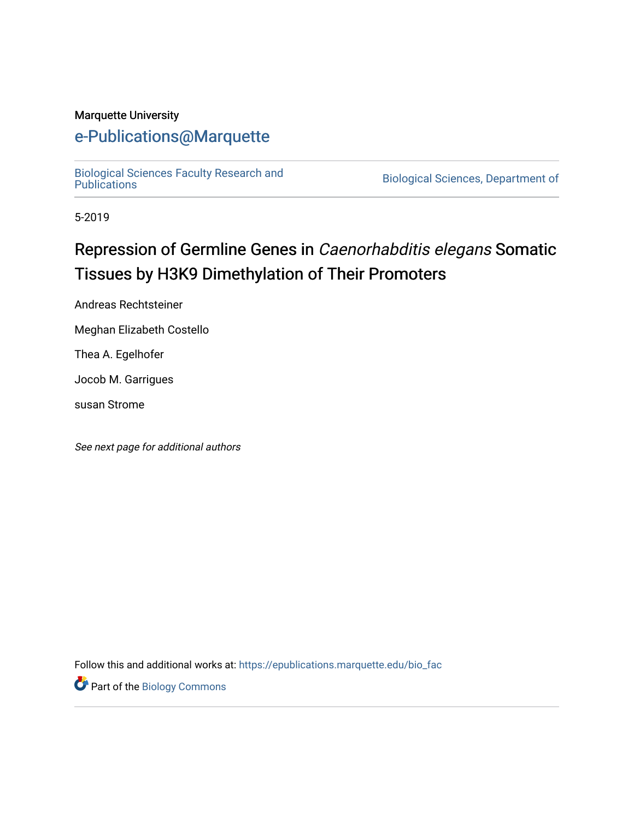#### Marquette University

# [e-Publications@Marquette](https://epublications.marquette.edu/)

[Biological Sciences Faculty Research and](https://epublications.marquette.edu/bio_fac) 

Biological Sciences, Department of

5-2019

# Repression of Germline Genes in Caenorhabditis elegans Somatic Tissues by H3K9 Dimethylation of Their Promoters

Andreas Rechtsteiner

Meghan Elizabeth Costello

Thea A. Egelhofer

Jocob M. Garrigues

susan Strome

See next page for additional authors

Follow this and additional works at: [https://epublications.marquette.edu/bio\\_fac](https://epublications.marquette.edu/bio_fac?utm_source=epublications.marquette.edu%2Fbio_fac%2F732&utm_medium=PDF&utm_campaign=PDFCoverPages) 

Part of the [Biology Commons](http://network.bepress.com/hgg/discipline/41?utm_source=epublications.marquette.edu%2Fbio_fac%2F732&utm_medium=PDF&utm_campaign=PDFCoverPages)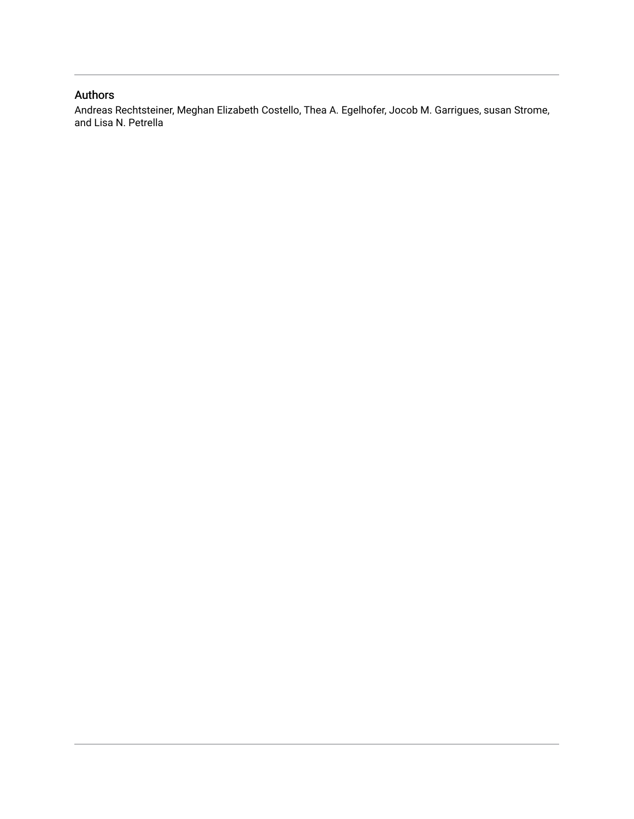#### Authors

Andreas Rechtsteiner, Meghan Elizabeth Costello, Thea A. Egelhofer, Jocob M. Garrigues, susan Strome, and Lisa N. Petrella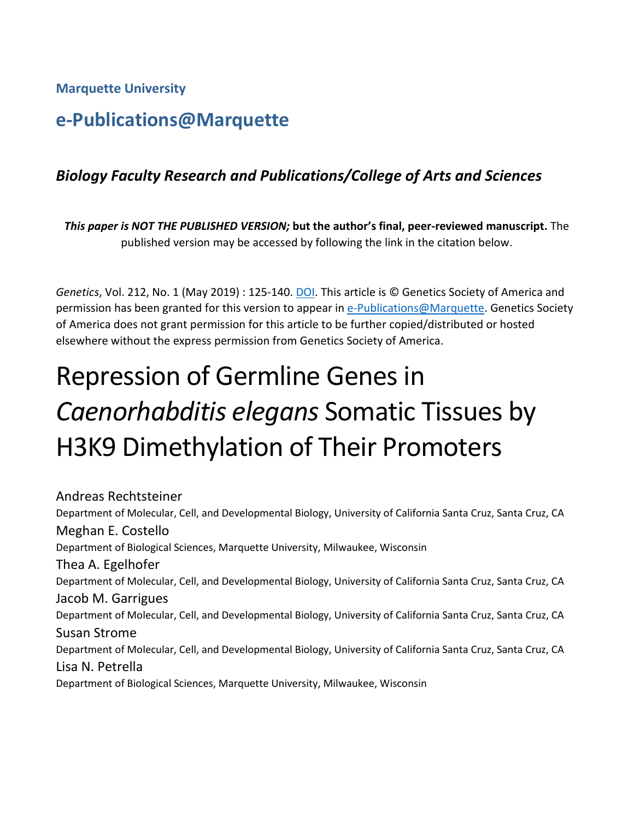**Marquette University**

# **e-Publications@Marquette**

# *Biology Faculty Research and Publications/College of Arts and Sciences*

*This paper is NOT THE PUBLISHED VERSION;* **but the author's final, peer-reviewed manuscript.** The published version may be accessed by following the link in the citation below.

*Genetics*, Vol. 212, No. 1 (May 2019) : 125-140. [DOI.](https://www.genetics.org/content/212/1/125) This article is © Genetics Society of America and permission has been granted for this version to appear in [e-Publications@Marquette.](http://epublications.marquette.edu/) Genetics Society of America does not grant permission for this article to be further copied/distributed or hosted elsewhere without the express permission from Genetics Society of America.

# Repression of Germline Genes in *Caenorhabditis elegans* Somatic Tissues by H3K9 Dimethylation of Their Promoters

Andreas Rechtsteiner Department of Molecular, Cell, and Developmental Biology, University of California Santa Cruz, Santa Cruz, CA Meghan E. Costello Department of Biological Sciences, Marquette University, Milwaukee, Wisconsin Thea A. Egelhofer Department of Molecular, Cell, and Developmental Biology, University of California Santa Cruz, Santa Cruz, CA Jacob M. Garrigues Department of Molecular, Cell, and Developmental Biology, University of California Santa Cruz, Santa Cruz, CA Susan Strome Department of Molecular, Cell, and Developmental Biology, University of California Santa Cruz, Santa Cruz, CA Lisa N. Petrella Department of Biological Sciences, Marquette University, Milwaukee, Wisconsin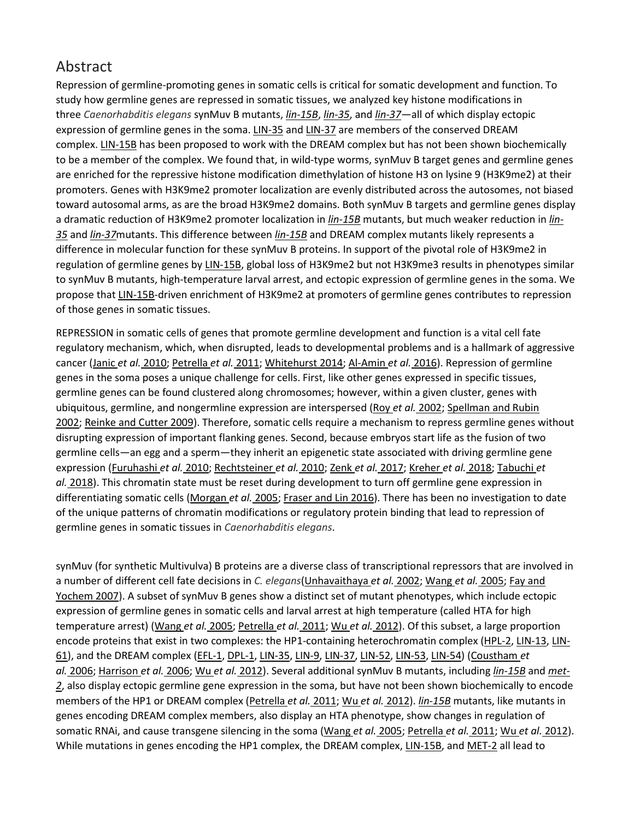# Abstract

Repression of germline-promoting genes in somatic cells is critical for somatic development and function. To study how germline genes are repressed in somatic tissues, we analyzed key histone modifications in three *Caenorhabditis elegans* synMuv B mutants, *[lin-15B](http://www.wormbase.org/db/get?name=WBGene00023497;class=Gene)*, *[lin-35](http://www.wormbase.org/db/get?name=WBGene00003020;class=Gene)*, and *[lin-37](http://www.wormbase.org/db/get?name=WBGene00003022;class=Gene)*—all of which display ectopic expression of germline genes in the soma. [LIN-35](http://www.wormbase.org/db/get?name=WBGene00003020;class=Gene) and [LIN-37](http://www.wormbase.org/db/get?name=WBGene00003022;class=Gene) are members of the conserved DREAM complex. [LIN-15B](http://www.wormbase.org/db/get?name=WBGene00023497;class=Gene) has been proposed to work with the DREAM complex but has not been shown biochemically to be a member of the complex. We found that, in wild-type worms, synMuv B target genes and germline genes are enriched for the repressive histone modification dimethylation of histone H3 on lysine 9 (H3K9me2) at their promoters. Genes with H3K9me2 promoter localization are evenly distributed across the autosomes, not biased toward autosomal arms, as are the broad H3K9me2 domains. Both synMuv B targets and germline genes display a dramatic reduction of H3K9me2 promoter localization in *[lin-15B](http://www.wormbase.org/db/get?name=WBGene00023497;class=Gene)* mutants, but much weaker reduction in *[lin-](http://www.wormbase.org/db/get?name=WBGene00003020;class=Gene)[35](http://www.wormbase.org/db/get?name=WBGene00003020;class=Gene)* and *[lin-37](http://www.wormbase.org/db/get?name=WBGene00003022;class=Gene)*mutants. This difference between *[lin-15B](http://www.wormbase.org/db/get?name=WBGene00023497;class=Gene)* and DREAM complex mutants likely represents a difference in molecular function for these synMuv B proteins. In support of the pivotal role of H3K9me2 in regulation of germline genes by [LIN-15B,](http://www.wormbase.org/db/get?name=WBGene00023497;class=Gene) global loss of H3K9me2 but not H3K9me3 results in phenotypes similar to synMuv B mutants, high-temperature larval arrest, and ectopic expression of germline genes in the soma. We propose that [LIN-15B-](http://www.wormbase.org/db/get?name=WBGene00023497;class=Gene)driven enrichment of H3K9me2 at promoters of germline genes contributes to repression of those genes in somatic tissues.

REPRESSION in somatic cells of genes that promote germline development and function is a vital cell fate regulatory mechanism, which, when disrupted, leads to developmental problems and is a hallmark of aggressive cancer (Janic *et al.* [2010;](https://www.genetics.org/content/212/1/125#ref-22) [Petrella](https://www.genetics.org/content/212/1/125#ref-38) *et al.* 2011; [Whitehurst](https://www.genetics.org/content/212/1/125#ref-59) 2014; [Al-Amin](https://www.genetics.org/content/212/1/125#ref-2) *et al.* 2016). Repression of germline genes in the soma poses a unique challenge for cells. First, like other genes expressed in specific tissues, germline genes can be found clustered along chromosomes; however, within a given cluster, genes with ubiquitous, germline, and nongermline expression are interspersed (Roy *et al.* [2002;](https://www.genetics.org/content/212/1/125#ref-45) [Spellman](https://www.genetics.org/content/212/1/125#ref-50) and Rubin [2002;](https://www.genetics.org/content/212/1/125#ref-50) [Reinke](https://www.genetics.org/content/212/1/125#ref-42) and Cutter 2009). Therefore, somatic cells require a mechanism to repress germline genes without disrupting expression of important flanking genes. Second, because embryos start life as the fusion of two germline cells—an egg and a sperm—they inherit an epigenetic state associated with driving germline gene expression [\(Furuhashi](https://www.genetics.org/content/212/1/125#ref-15) *et al.* 2010; [Rechtsteiner](https://www.genetics.org/content/212/1/125#ref-41) *et al.* 2010; Zenk *et al.* [2017;](https://www.genetics.org/content/212/1/125#ref-62) [Kreher](https://www.genetics.org/content/212/1/125#ref-26) *et al.* 2018; [Tabuchi](https://www.genetics.org/content/212/1/125#ref-53) *et al.* [2018\)](https://www.genetics.org/content/212/1/125#ref-53). This chromatin state must be reset during development to turn off germline gene expression in differentiating somatic cells [\(Morgan](https://www.genetics.org/content/212/1/125#ref-35) *et al.* 2005; [Fraser](https://www.genetics.org/content/212/1/125#ref-14) and Lin 2016). There has been no investigation to date of the unique patterns of chromatin modifications or regulatory protein binding that lead to repression of germline genes in somatic tissues in *Caenorhabditis elegans*.

synMuv (for synthetic Multivulva) B proteins are a diverse class of transcriptional repressors that are involved in a number of different cell fate decisions in *C. elegans*[\(Unhavaithaya](https://www.genetics.org/content/212/1/125#ref-55) *et al.* 2002; [Wang](https://www.genetics.org/content/212/1/125#ref-56) *et al.* 2005; Fay [and](https://www.genetics.org/content/212/1/125#ref-13) [Yochem](https://www.genetics.org/content/212/1/125#ref-13) 2007). A subset of synMuv B genes show a distinct set of mutant phenotypes, which include ectopic expression of germline genes in somatic cells and larval arrest at high temperature (called HTA for high temperature arrest) [\(Wang](https://www.genetics.org/content/212/1/125#ref-56) *et al.* 2005; [Petrella](https://www.genetics.org/content/212/1/125#ref-38) *et al.* 2011; Wu *et al.* [2012\)](https://www.genetics.org/content/212/1/125#ref-60). Of this subset, a large proportion encode proteins that exist in two complexes: the HP1-containing heterochromatin complex [\(HPL-2,](http://www.wormbase.org/db/get?name=WBGene00001996;class=Gene) [LIN-13,](http://www.wormbase.org/db/get?name=WBGene00003002;class=Gene) [LIN-](http://www.wormbase.org/db/get?name=WBGene00003041;class=Gene)[61\)](http://www.wormbase.org/db/get?name=WBGene00003041;class=Gene), and the DREAM complex [\(EFL-1,](http://www.wormbase.org/db/get?name=WBGene00001161;class=Gene) [DPL-1,](http://www.wormbase.org/db/get?name=WBGene00001061;class=Gene) [LIN-35,](http://www.wormbase.org/db/get?name=WBGene00003020;class=Gene) [LIN-9,](http://www.wormbase.org/db/get?name=WBGene00002998;class=Gene) [LIN-37,](http://www.wormbase.org/db/get?name=WBGene00003022;class=Gene) [LIN-52,](http://www.wormbase.org/db/get?name=WBGene00003035;class=Gene) [LIN-53,](http://www.wormbase.org/db/get?name=WBGene00003036;class=Gene) [LIN-54\)](http://www.wormbase.org/db/get?name=WBGene00003037;class=Gene) [\(Coustham](https://www.genetics.org/content/212/1/125#ref-6) *et al.* [2006;](https://www.genetics.org/content/212/1/125#ref-6) [Harrison](https://www.genetics.org/content/212/1/125#ref-19) *et al.* 2006; Wu *et al.* [2012\)](https://www.genetics.org/content/212/1/125#ref-60). Several additional synMuv B mutants, including *[lin-15B](http://www.wormbase.org/db/get?name=WBGene00023497;class=Gene)* and *[met-](http://www.wormbase.org/db/get?name=WBGene00019883;class=Gene)[2](http://www.wormbase.org/db/get?name=WBGene00019883;class=Gene)*, also display ectopic germline gene expression in the soma, but have not been shown biochemically to encode members of the HP1 or DREAM complex [\(Petrella](https://www.genetics.org/content/212/1/125#ref-38) *et al.* 2011; Wu *et al.* [2012\)](https://www.genetics.org/content/212/1/125#ref-60). *[lin-15B](http://www.wormbase.org/db/get?name=WBGene00023497;class=Gene)* mutants, like mutants in genes encoding DREAM complex members, also display an HTA phenotype, show changes in regulation of somatic RNAi, and cause transgene silencing in the soma [\(Wang](https://www.genetics.org/content/212/1/125#ref-56) *et al.* 2005; [Petrella](https://www.genetics.org/content/212/1/125#ref-38) *et al.* 2011; Wu *et al.* [2012\)](https://www.genetics.org/content/212/1/125#ref-60). While mutations in genes encoding the HP1 complex, the DREAM complex, [LIN-15B,](http://www.wormbase.org/db/get?name=WBGene00023497;class=Gene) and [MET-2](http://www.wormbase.org/db/get?name=WBGene00019883;class=Gene) all lead to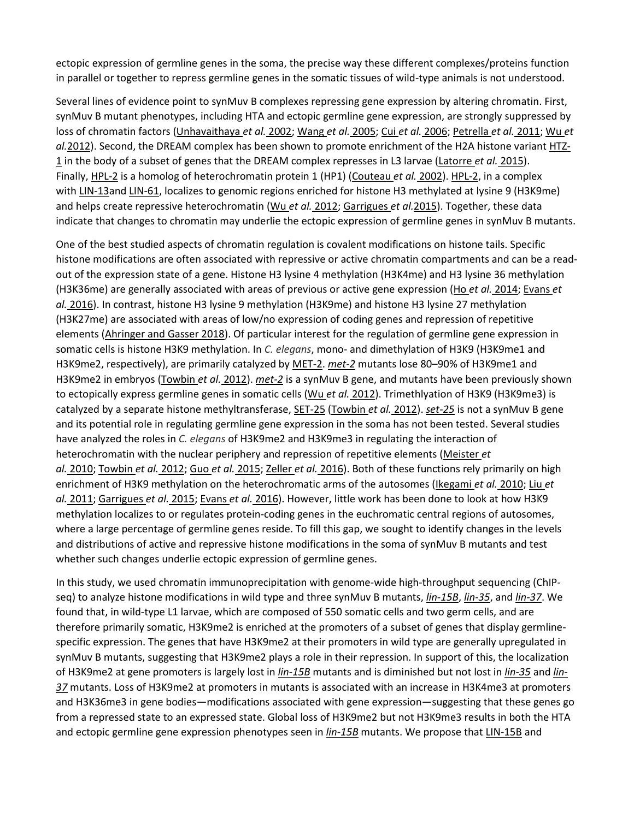ectopic expression of germline genes in the soma, the precise way these different complexes/proteins function in parallel or together to repress germline genes in the somatic tissues of wild-type animals is not understood.

Several lines of evidence point to synMuv B complexes repressing gene expression by altering chromatin. First, synMuv B mutant phenotypes, including HTA and ectopic germline gene expression, are strongly suppressed by loss of chromatin factors [\(Unhavaithaya](https://www.genetics.org/content/212/1/125#ref-55) *et al.* 2002; [Wang](https://www.genetics.org/content/212/1/125#ref-56) *et al.* 2005; Cui *et al.* [2006;](https://www.genetics.org/content/212/1/125#ref-8) [Petrella](https://www.genetics.org/content/212/1/125#ref-38) *et al.* 2011; [Wu](https://www.genetics.org/content/212/1/125#ref-60) *et al.* [2012\)](https://www.genetics.org/content/212/1/125#ref-60). Second, the DREAM complex has been shown to promote enrichment of the H2A histone variant [HTZ-](http://www.wormbase.org/db/get?name=WBGene00019947;class=Gene)[1](http://www.wormbase.org/db/get?name=WBGene00019947;class=Gene) in the body of a subset of genes that the DREAM complex represses in L3 larvae [\(Latorre](https://www.genetics.org/content/212/1/125#ref-28) *et al.* 2015). Finally, [HPL-2](http://www.wormbase.org/db/get?name=WBGene00001996;class=Gene) is a homolog of heterochromatin protein 1 (HP1) [\(Couteau](https://www.genetics.org/content/212/1/125#ref-7) *et al.* 2002). [HPL-2,](http://www.wormbase.org/db/get?name=WBGene00001996;class=Gene) in a complex with [LIN-13a](http://www.wormbase.org/db/get?name=WBGene00003002;class=Gene)nd [LIN-61,](http://www.wormbase.org/db/get?name=WBGene00003041;class=Gene) localizes to genomic regions enriched for histone H3 methylated at lysine 9 (H3K9me) and helps create repressive heterochromatin (Wu *et al.* [2012;](https://www.genetics.org/content/212/1/125#ref-60) [Garrigues](https://www.genetics.org/content/212/1/125#ref-16) *et al.*2015). Together, these data indicate that changes to chromatin may underlie the ectopic expression of germline genes in synMuv B mutants.

One of the best studied aspects of chromatin regulation is covalent modifications on histone tails. Specific histone modifications are often associated with repressive or active chromatin compartments and can be a readout of the expression state of a gene. Histone H3 lysine 4 methylation (H3K4me) and H3 lysine 36 methylation (H3K36me) are generally associated with areas of previous or active gene expression (Ho *et al.* [2014;](https://www.genetics.org/content/212/1/125#ref-20) [Evans](https://www.genetics.org/content/212/1/125#ref-12) *et al.* [2016\)](https://www.genetics.org/content/212/1/125#ref-12). In contrast, histone H3 lysine 9 methylation (H3K9me) and histone H3 lysine 27 methylation (H3K27me) are associated with areas of low/no expression of coding genes and repression of repetitive elements [\(Ahringer](https://www.genetics.org/content/212/1/125#ref-1) and Gasser 2018). Of particular interest for the regulation of germline gene expression in somatic cells is histone H3K9 methylation. In *C. elegans*, mono- and dimethylation of H3K9 (H3K9me1 and H3K9me2, respectively), are primarily catalyzed by [MET-2.](http://www.wormbase.org/db/get?name=WBGene00019883;class=Gene) *[met-2](http://www.wormbase.org/db/get?name=WBGene00019883;class=Gene)* mutants lose 80–90% of H3K9me1 and H3K9me2 in embryos [\(Towbin](https://www.genetics.org/content/212/1/125#ref-54) *et al.* 2012). *[met-2](http://www.wormbase.org/db/get?name=WBGene00019883;class=Gene)* is a synMuv B gene, and mutants have been previously shown to ectopically express germline genes in somatic cells (Wu *et al.* [2012\)](https://www.genetics.org/content/212/1/125#ref-60). Trimethlyation of H3K9 (H3K9me3) is catalyzed by a separate histone methyltransferase, [SET-25](http://www.wormbase.org/db/get?name=WBGene00012802;class=Gene) [\(Towbin](https://www.genetics.org/content/212/1/125#ref-54) *et al.* 2012). *[set-25](http://www.wormbase.org/db/get?name=WBGene00012802;class=Gene)* is not a synMuv B gene and its potential role in regulating germline gene expression in the soma has not been tested. Several studies have analyzed the roles in *C. elegans* of H3K9me2 and H3K9me3 in regulating the interaction of heterochromatin with the nuclear periphery and repression of repetitive elements [\(Meister](https://www.genetics.org/content/212/1/125#ref-34) *et al.* [2010;](https://www.genetics.org/content/212/1/125#ref-34) [Towbin](https://www.genetics.org/content/212/1/125#ref-54) *et al.* 2012; Guo *et al.* [2015;](https://www.genetics.org/content/212/1/125#ref-18) [Zeller](https://www.genetics.org/content/212/1/125#ref-61) *et al.* 2016). Both of these functions rely primarily on high enrichment of H3K9 methylation on the heterochromatic arms of the autosomes [\(Ikegami](https://www.genetics.org/content/212/1/125#ref-21) *et al.* 2010; [Liu](https://www.genetics.org/content/212/1/125#ref-31) *et al.* [2011;](https://www.genetics.org/content/212/1/125#ref-31) [Garrigues](https://www.genetics.org/content/212/1/125#ref-16) *et al.* 2015; [Evans](https://www.genetics.org/content/212/1/125#ref-12) *et al.* 2016). However, little work has been done to look at how H3K9 methylation localizes to or regulates protein-coding genes in the euchromatic central regions of autosomes, where a large percentage of germline genes reside. To fill this gap, we sought to identify changes in the levels and distributions of active and repressive histone modifications in the soma of synMuv B mutants and test whether such changes underlie ectopic expression of germline genes.

In this study, we used chromatin immunoprecipitation with genome-wide high-throughput sequencing (ChIPseq) to analyze histone modifications in wild type and three synMuv B mutants, *[lin-15B](http://www.wormbase.org/db/get?name=WBGene00023497;class=Gene)*, *[lin-35](http://www.wormbase.org/db/get?name=WBGene00003020;class=Gene)*, and *[lin-37](http://www.wormbase.org/db/get?name=WBGene00003022;class=Gene)*. We found that, in wild-type L1 larvae, which are composed of 550 somatic cells and two germ cells, and are therefore primarily somatic, H3K9me2 is enriched at the promoters of a subset of genes that display germlinespecific expression. The genes that have H3K9me2 at their promoters in wild type are generally upregulated in synMuv B mutants, suggesting that H3K9me2 plays a role in their repression. In support of this, the localization of H3K9me2 at gene promoters is largely lost in *[lin-15B](http://www.wormbase.org/db/get?name=WBGene00023497;class=Gene)* mutants and is diminished but not lost in *[lin-35](http://www.wormbase.org/db/get?name=WBGene00003020;class=Gene)* and *[lin-](http://www.wormbase.org/db/get?name=WBGene00003022;class=Gene)[37](http://www.wormbase.org/db/get?name=WBGene00003022;class=Gene)* mutants. Loss of H3K9me2 at promoters in mutants is associated with an increase in H3K4me3 at promoters and H3K36me3 in gene bodies—modifications associated with gene expression—suggesting that these genes go from a repressed state to an expressed state. Global loss of H3K9me2 but not H3K9me3 results in both the HTA and ectopic germline gene expression phenotypes seen in *[lin-15B](http://www.wormbase.org/db/get?name=WBGene00023497;class=Gene)* mutants. We propose that [LIN-15B](http://www.wormbase.org/db/get?name=WBGene00023497;class=Gene) and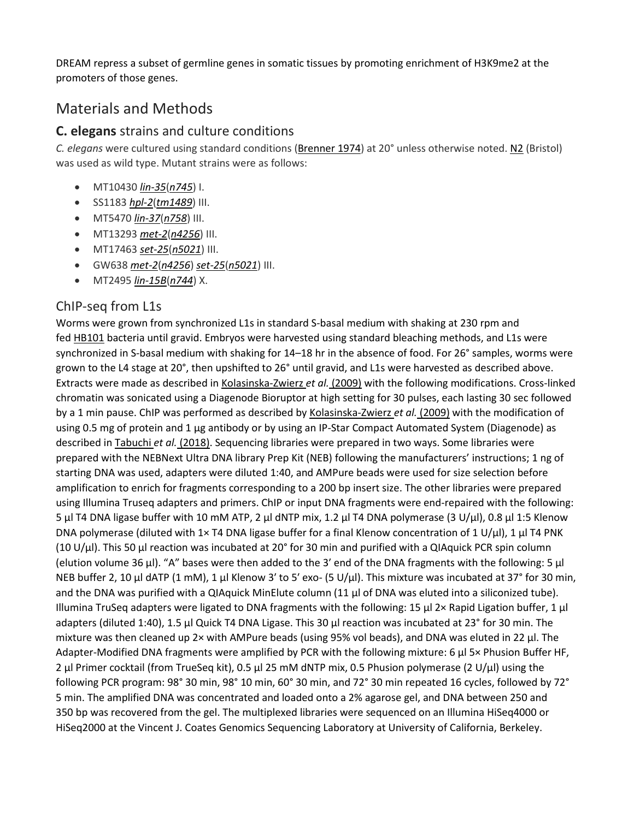DREAM repress a subset of germline genes in somatic tissues by promoting enrichment of H3K9me2 at the promoters of those genes.

# Materials and Methods

#### **C. elegans** strains and culture conditions

*C. elegans* were cultured using standard conditions [\(Brenner](https://www.genetics.org/content/212/1/125#ref-4) 1974) at 20° unless otherwise noted. [N2](http://www.wormbase.org/db/get?name=N2;class=Strain) (Bristol) was used as wild type. Mutant strains were as follows:

- MT10430 *[lin-35](http://www.wormbase.org/db/get?name=WBGene00003020;class=Gene)*(*[n745](http://www.wormbase.org/db/get?name=WBVar00089719;class=Variation)*) I.
- SS1183 *[hpl-2](http://www.wormbase.org/db/get?name=WBGene00001996;class=Gene)*(*[tm1489](http://www.wormbase.org/db/get?name=WBVar00250481;class=Variation)*) III.
- MT5470 *[lin-37](http://www.wormbase.org/db/get?name=WBGene00003022;class=Gene)*(*[n758](http://www.wormbase.org/db/get?name=WBVar00089729;class=Variation)*) III.
- MT13293 *[met-2](http://www.wormbase.org/db/get?name=WBGene00019883;class=Gene)*(*[n4256](http://www.wormbase.org/db/get?name=WBVar00090812;class=Variation)*) III.
- MT17463 *[set-25](http://www.wormbase.org/db/get?name=WBGene00012802;class=Gene)*(*[n5021](http://www.wormbase.org/db/get?name=WBVar00090913;class=Variation)*) III.
- GW638 *[met-2](http://www.wormbase.org/db/get?name=WBGene00019883;class=Gene)*(*[n4256](http://www.wormbase.org/db/get?name=WBVar00090812;class=Variation)*) *[set-25](http://www.wormbase.org/db/get?name=WBGene00012802;class=Gene)*(*[n5021](http://www.wormbase.org/db/get?name=WBVar00090913;class=Variation)*) III.
- MT2495 *[lin-15B](http://www.wormbase.org/db/get?name=WBGene00023497;class=Gene)*(*[n744](http://www.wormbase.org/db/get?name=WBVar00089718;class=Variation)*) X.

#### ChIP-seq from L1s

Worms were grown from synchronized L1s in standard S-basal medium with shaking at 230 rpm and fed [HB101](http://www.wormbase.org/db/get?name=HB101;class=Strain) bacteria until gravid. Embryos were harvested using standard bleaching methods, and L1s were synchronized in S-basal medium with shaking for 14–18 hr in the absence of food. For 26° samples, worms were grown to the L4 stage at 20°, then upshifted to 26° until gravid, and L1s were harvested as described above. Extracts were made as described in [Kolasinska-Zwierz](https://www.genetics.org/content/212/1/125#ref-25) *et al.* (2009) with the following modifications. Cross-linked chromatin was sonicated using a Diagenode Bioruptor at high setting for 30 pulses, each lasting 30 sec followed by a 1 min pause. ChIP was performed as described by [Kolasinska-Zwierz](https://www.genetics.org/content/212/1/125#ref-25) *et al.* (2009) with the modification of using 0.5 mg of protein and 1 µg antibody or by using an IP-Star Compact Automated System (Diagenode) as described in [Tabuchi](https://www.genetics.org/content/212/1/125#ref-53) *et al.* (2018). Sequencing libraries were prepared in two ways. Some libraries were prepared with the NEBNext Ultra DNA library Prep Kit (NEB) following the manufacturers' instructions; 1 ng of starting DNA was used, adapters were diluted 1:40, and AMPure beads were used for size selection before amplification to enrich for fragments corresponding to a 200 bp insert size. The other libraries were prepared using Illumina Truseq adapters and primers. ChIP or input DNA fragments were end-repaired with the following: 5 µl T4 DNA ligase buffer with 10 mM ATP, 2 µl dNTP mix, 1.2 µl T4 DNA polymerase (3 U/µl), 0.8 µl 1:5 Klenow DNA polymerase (diluted with 1× T4 DNA ligase buffer for a final Klenow concentration of 1 U/µl), 1 µl T4 PNK (10 U/µl). This 50 µl reaction was incubated at 20° for 30 min and purified with a QIAquick PCR spin column (elution volume 36 µl). "A" bases were then added to the 3' end of the DNA fragments with the following: 5 µl NEB buffer 2, 10 µl dATP (1 mM), 1 µl Klenow 3' to 5' exo- (5 U/µl). This mixture was incubated at 37° for 30 min, and the DNA was purified with a QIAquick MinElute column (11 µl of DNA was eluted into a siliconized tube). Illumina TruSeq adapters were ligated to DNA fragments with the following: 15 µl 2× Rapid Ligation buffer, 1 µl adapters (diluted 1:40), 1.5 µl Quick T4 DNA Ligase. This 30 µl reaction was incubated at 23° for 30 min. The mixture was then cleaned up 2× with AMPure beads (using 95% vol beads), and DNA was eluted in 22 µl. The Adapter-Modified DNA fragments were amplified by PCR with the following mixture: 6  $\mu$ l 5× Phusion Buffer HF, 2 µl Primer cocktail (from TrueSeq kit), 0.5 µl 25 mM dNTP mix, 0.5 Phusion polymerase (2 U/µl) using the following PCR program: 98° 30 min, 98° 10 min, 60° 30 min, and 72° 30 min repeated 16 cycles, followed by 72° 5 min. The amplified DNA was concentrated and loaded onto a 2% agarose gel, and DNA between 250 and 350 bp was recovered from the gel. The multiplexed libraries were sequenced on an Illumina HiSeq4000 or HiSeq2000 at the Vincent J. Coates Genomics Sequencing Laboratory at University of California, Berkeley.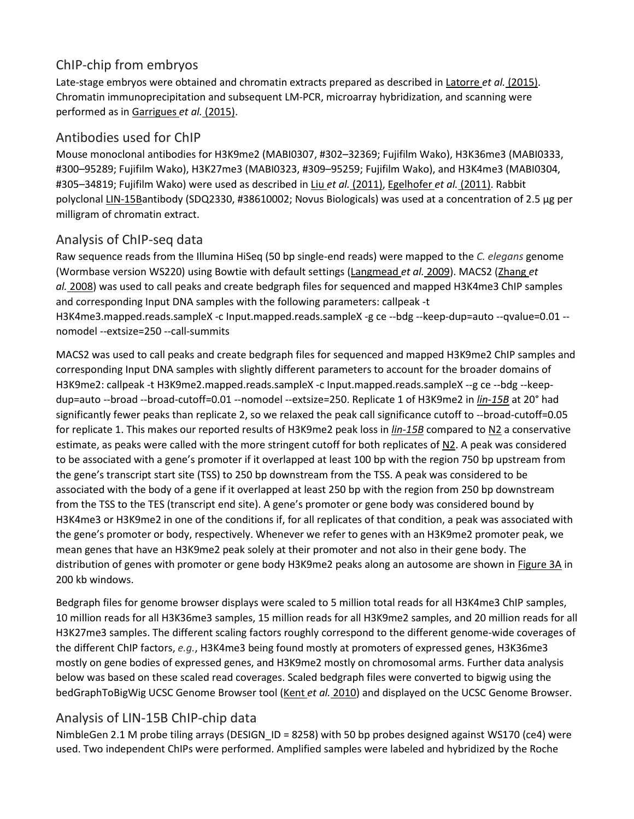#### ChIP-chip from embryos

Late-stage embryos were obtained and chromatin extracts prepared as described in [Latorre](https://www.genetics.org/content/212/1/125#ref-28) *et al.* (2015). Chromatin immunoprecipitation and subsequent LM-PCR, microarray hybridization, and scanning were performed as in [Garrigues](https://www.genetics.org/content/212/1/125#ref-16) *et al.* (2015).

#### Antibodies used for ChIP

Mouse monoclonal antibodies for H3K9me2 (MABI0307, #302–32369; Fujifilm Wako), H3K36me3 (MABI0333, #300–95289; Fujifilm Wako), H3K27me3 (MABI0323, #309–95259; Fujifilm Wako), and H3K4me3 (MABI0304, #305–34819; Fujifilm Wako) were used as described in Liu *et al.* [\(2011\),](https://www.genetics.org/content/212/1/125#ref-31) [Egelhofer](https://www.genetics.org/content/212/1/125#ref-11) *et al.* (2011). Rabbit polyclonal [LIN-15Ba](http://www.wormbase.org/db/get?name=WBGene00023497;class=Gene)ntibody (SDQ2330, #38610002; Novus Biologicals) was used at a concentration of 2.5 µg per milligram of chromatin extract.

#### Analysis of ChIP-seq data

Raw sequence reads from the Illumina HiSeq (50 bp single-end reads) were mapped to the *C. elegans* genome (Wormbase version WS220) using Bowtie with default settings [\(Langmead](https://www.genetics.org/content/212/1/125#ref-27) *et al.* 2009). MACS2 [\(Zhang](https://www.genetics.org/content/212/1/125#ref-63) *et al.* [2008\)](https://www.genetics.org/content/212/1/125#ref-63) was used to call peaks and create bedgraph files for sequenced and mapped H3K4me3 ChIP samples and corresponding Input DNA samples with the following parameters: callpeak -t H3K4me3.mapped.reads.sampleX -c Input.mapped.reads.sampleX -g ce --bdg --keep-dup=auto --qvalue=0.01 - nomodel --extsize=250 --call-summits

MACS2 was used to call peaks and create bedgraph files for sequenced and mapped H3K9me2 ChIP samples and corresponding Input DNA samples with slightly different parameters to account for the broader domains of H3K9me2: callpeak -t H3K9me2.mapped.reads.sampleX -c Input.mapped.reads.sampleX --g ce --bdg --keepdup=auto --broad --broad-cutoff=0.01 --nomodel --extsize=250. Replicate 1 of H3K9me2 in *[lin-15B](http://www.wormbase.org/db/get?name=WBGene00023497;class=Gene)* at 20° had significantly fewer peaks than replicate 2, so we relaxed the peak call significance cutoff to --broad-cutoff=0.05 for replicate 1. This makes our reported results of H3K9me2 peak loss in *[lin-15B](http://www.wormbase.org/db/get?name=WBGene00023497;class=Gene)* compared to [N2](http://www.wormbase.org/db/get?name=N2;class=Strain) a conservative estimate, as peaks were called with the more stringent cutoff for both replicates of [N2.](http://www.wormbase.org/db/get?name=N2;class=Strain) A peak was considered to be associated with a gene's promoter if it overlapped at least 100 bp with the region 750 bp upstream from the gene's transcript start site (TSS) to 250 bp downstream from the TSS. A peak was considered to be associated with the body of a gene if it overlapped at least 250 bp with the region from 250 bp downstream from the TSS to the TES (transcript end site). A gene's promoter or gene body was considered bound by H3K4me3 or H3K9me2 in one of the conditions if, for all replicates of that condition, a peak was associated with the gene's promoter or body, respectively. Whenever we refer to genes with an H3K9me2 promoter peak, we mean genes that have an H3K9me2 peak solely at their promoter and not also in their gene body. The distribution of genes with promoter or gene body H3K9me2 peaks along an autosome are shown in [Figure](https://www.genetics.org/content/212/1/125#F3) 3A in 200 kb windows.

Bedgraph files for genome browser displays were scaled to 5 million total reads for all H3K4me3 ChIP samples, 10 million reads for all H3K36me3 samples, 15 million reads for all H3K9me2 samples, and 20 million reads for all H3K27me3 samples. The different scaling factors roughly correspond to the different genome-wide coverages of the different ChIP factors, *e.g.*, H3K4me3 being found mostly at promoters of expressed genes, H3K36me3 mostly on gene bodies of expressed genes, and H3K9me2 mostly on chromosomal arms. Further data analysis below was based on these scaled read coverages. Scaled bedgraph files were converted to bigwig using the bedGraphToBigWig UCSC Genome Browser tool (Kent *et al.* [2010\)](https://www.genetics.org/content/212/1/125#ref-24) and displayed on the UCSC Genome Browser.

#### Analysis of LIN-15B ChIP-chip data

NimbleGen 2.1 M probe tiling arrays (DESIGN ID = 8258) with 50 bp probes designed against WS170 (ce4) were used. Two independent ChIPs were performed. Amplified samples were labeled and hybridized by the Roche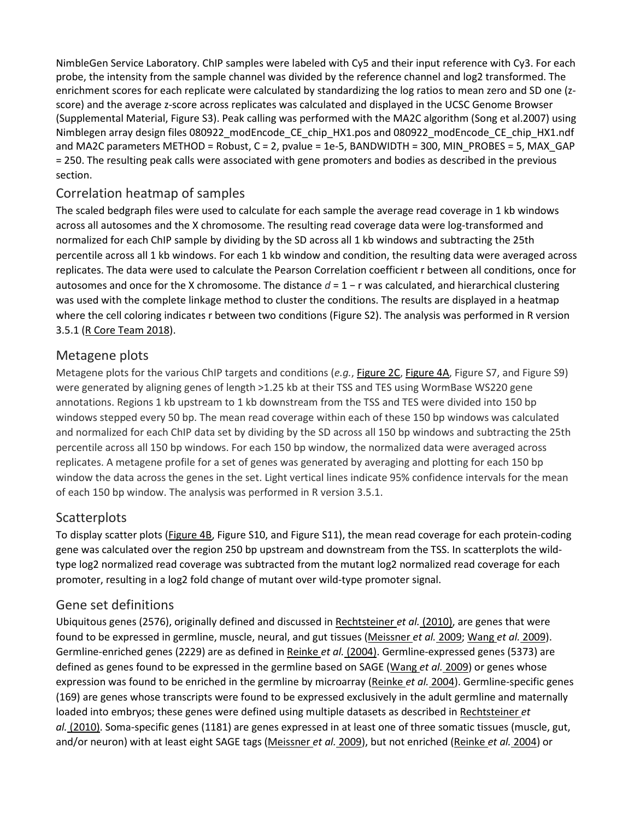NimbleGen Service Laboratory. ChIP samples were labeled with Cy5 and their input reference with Cy3. For each probe, the intensity from the sample channel was divided by the reference channel and log2 transformed. The enrichment scores for each replicate were calculated by standardizing the log ratios to mean zero and SD one (zscore) and the average z-score across replicates was calculated and displayed in the UCSC Genome Browser (Supplemental Material, Figure S3). Peak calling was performed with the MA2C algorithm (Song [et al.2007\)](https://www.genetics.org/content/212/1/125#ref-49) using Nimblegen array design files 080922\_modEncode\_CE\_chip\_HX1.pos and 080922\_modEncode\_CE\_chip\_HX1.ndf and MA2C parameters METHOD = Robust, C = 2, pvalue = 1e-5, BANDWIDTH = 300, MIN\_PROBES = 5, MAX\_GAP = 250. The resulting peak calls were associated with gene promoters and bodies as described in the previous section.

#### Correlation heatmap of samples

The scaled bedgraph files were used to calculate for each sample the average read coverage in 1 kb windows across all autosomes and the X chromosome. The resulting read coverage data were log-transformed and normalized for each ChIP sample by dividing by the SD across all 1 kb windows and subtracting the 25th percentile across all 1 kb windows. For each 1 kb window and condition, the resulting data were averaged across replicates. The data were used to calculate the Pearson Correlation coefficient r between all conditions, once for autosomes and once for the X chromosome. The distance *d* = 1 − r was calculated, and hierarchical clustering was used with the complete linkage method to cluster the conditions. The results are displayed in a heatmap where the cell coloring indicates r between two conditions (Figure S2). The analysis was performed in R version 3.5.1 (R Core [Team](https://www.genetics.org/content/212/1/125#ref-40) 2018).

#### Metagene plots

Metagene plots for the various ChIP targets and conditions (*e.g.*, [Figure](https://www.genetics.org/content/212/1/125#F2) 2C, [Figure](https://www.genetics.org/content/212/1/125#F4) 4A, Figure S7, and Figure S9) were generated by aligning genes of length >1.25 kb at their TSS and TES using WormBase WS220 gene annotations. Regions 1 kb upstream to 1 kb downstream from the TSS and TES were divided into 150 bp windows stepped every 50 bp. The mean read coverage within each of these 150 bp windows was calculated and normalized for each ChIP data set by dividing by the SD across all 150 bp windows and subtracting the 25th percentile across all 150 bp windows. For each 150 bp window, the normalized data were averaged across replicates. A metagene profile for a set of genes was generated by averaging and plotting for each 150 bp window the data across the genes in the set. Light vertical lines indicate 95% confidence intervals for the mean of each 150 bp window. The analysis was performed in R version 3.5.1.

#### **Scatterplots**

To display scatter plots [\(Figure](https://www.genetics.org/content/212/1/125#F4) 4B, Figure S10, and Figure S11), the mean read coverage for each protein-coding gene was calculated over the region 250 bp upstream and downstream from the TSS. In scatterplots the wildtype log2 normalized read coverage was subtracted from the mutant log2 normalized read coverage for each promoter, resulting in a log2 fold change of mutant over wild-type promoter signal.

#### Gene set definitions

Ubiquitous genes (2576), originally defined and discussed in [Rechtsteiner](https://www.genetics.org/content/212/1/125#ref-41) *et al.* (2010), are genes that were found to be expressed in germline, muscle, neural, and gut tissues [\(Meissner](https://www.genetics.org/content/212/1/125#ref-33) *et al.* 2009; [Wang](https://www.genetics.org/content/212/1/125#ref-57) *et al.* 2009). Germline-enriched genes (2229) are as defined in Reinke *et al.* [\(2004\).](https://www.genetics.org/content/212/1/125#ref-43) Germline-expressed genes (5373) are defined as genes found to be expressed in the germline based on SAGE [\(Wang](https://www.genetics.org/content/212/1/125#ref-57) *et al.* 2009) or genes whose expression was found to be enriched in the germline by microarray [\(Reinke](https://www.genetics.org/content/212/1/125#ref-43) *et al.* 2004). Germline-specific genes (169) are genes whose transcripts were found to be expressed exclusively in the adult germline and maternally loaded into embryos; these genes were defined using multiple datasets as described in [Rechtsteiner](https://www.genetics.org/content/212/1/125#ref-41) *et al.* [\(2010\).](https://www.genetics.org/content/212/1/125#ref-41) Soma-specific genes (1181) are genes expressed in at least one of three somatic tissues (muscle, gut, and/or neuron) with at least eight SAGE tags [\(Meissner](https://www.genetics.org/content/212/1/125#ref-33) *et al.* 2009), but not enriched [\(Reinke](https://www.genetics.org/content/212/1/125#ref-43) *et al.* 2004) or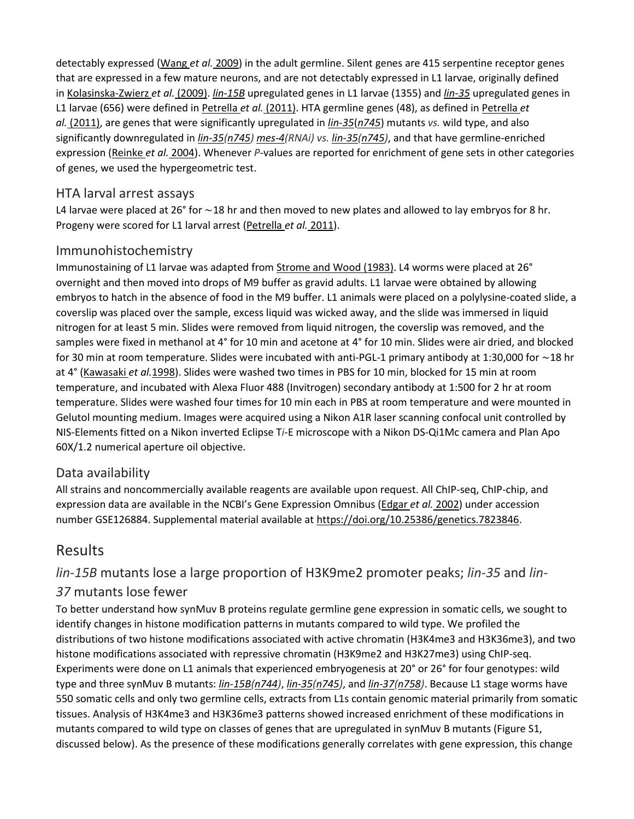detectably expressed [\(Wang](https://www.genetics.org/content/212/1/125#ref-57) *et al.* 2009) in the adult germline. Silent genes are 415 serpentine receptor genes that are expressed in a few mature neurons, and are not detectably expressed in L1 larvae, originally defined in [Kolasinska-Zwierz](https://www.genetics.org/content/212/1/125#ref-25) *et al.* (2009). *[lin-15B](http://www.wormbase.org/db/get?name=WBGene00023497;class=Gene)* upregulated genes in L1 larvae (1355) and *[lin-35](http://www.wormbase.org/db/get?name=WBGene00003020;class=Gene)* upregulated genes in L1 larvae (656) were defined in [Petrella](https://www.genetics.org/content/212/1/125#ref-38) *et al.* (2011). HTA germline genes (48), as defined in [Petrella](https://www.genetics.org/content/212/1/125#ref-38) *et al.* [\(2011\),](https://www.genetics.org/content/212/1/125#ref-38) are genes that were significantly upregulated in *[lin-35](http://www.wormbase.org/db/get?name=WBGene00003020;class=Gene)*(*[n745](http://www.wormbase.org/db/get?name=WBVar00089719;class=Variation)*) mutants *vs.* wild type, and also significantly downregulated in *[lin-35](http://www.wormbase.org/db/get?name=WBGene00003020;class=Gene)[\(n745\)](http://www.wormbase.org/db/get?name=WBVar00089719;class=Variation) [mes-4\(](http://www.wormbase.org/db/get?name=WBGene00003222;class=Gene)RNAi) vs. [lin-35\(](http://www.wormbase.org/db/get?name=WBGene00003020;class=Gene)[n745\)](http://www.wormbase.org/db/get?name=WBVar00089719;class=Variation)*, and that have germline-enriched expression [\(Reinke](https://www.genetics.org/content/212/1/125#ref-43) *et al.* 2004). Whenever *P*-values are reported for enrichment of gene sets in other categories of genes, we used the hypergeometric test.

#### HTA larval arrest assays

L4 larvae were placed at 26° for ∼18 hr and then moved to new plates and allowed to lay embryos for 8 hr. Progeny were scored for L1 larval arrest [\(Petrella](https://www.genetics.org/content/212/1/125#ref-38) *et al.* 2011).

#### Immunohistochemistry

Immunostaining of L1 larvae was adapted from [Strome](https://www.genetics.org/content/212/1/125#ref-52) and Wood (1983). L4 worms were placed at 26° overnight and then moved into drops of M9 buffer as gravid adults. L1 larvae were obtained by allowing embryos to hatch in the absence of food in the M9 buffer. L1 animals were placed on a polylysine-coated slide, a coverslip was placed over the sample, excess liquid was wicked away, and the slide was immersed in liquid nitrogen for at least 5 min. Slides were removed from liquid nitrogen, the coverslip was removed, and the samples were fixed in methanol at 4° for 10 min and acetone at 4° for 10 min. Slides were air dried, and blocked for 30 min at room temperature. Slides were incubated with anti-PGL-1 primary antibody at 1:30,000 for ∼18 hr at 4° [\(Kawasaki](https://www.genetics.org/content/212/1/125#ref-23) *et al.*1998). Slides were washed two times in PBS for 10 min, blocked for 15 min at room temperature, and incubated with Alexa Fluor 488 (Invitrogen) secondary antibody at 1:500 for 2 hr at room temperature. Slides were washed four times for 10 min each in PBS at room temperature and were mounted in Gelutol mounting medium. Images were acquired using a Nikon A1R laser scanning confocal unit controlled by NIS-Elements fitted on a Nikon inverted Eclipse T*i*-E microscope with a Nikon DS-Qi1Mc camera and Plan Apo 60X/1.2 numerical aperture oil objective.

#### Data availability

All strains and noncommercially available reagents are available upon request. All ChIP-seq, ChIP-chip, and expression data are available in the NCBI's Gene Expression Omnibus [\(Edgar](https://www.genetics.org/content/212/1/125#ref-10) *et al.* 2002) under accession number GSE126884. Supplemental material available at [https://doi.org/10.25386/genetics.7823846.](https://doi.org/10.25386/genetics.7823846)

# Results

### *lin-15B* mutants lose a large proportion of H3K9me2 promoter peaks; *lin-35* and *lin-37* mutants lose fewer

To better understand how synMuv B proteins regulate germline gene expression in somatic cells, we sought to identify changes in histone modification patterns in mutants compared to wild type. We profiled the distributions of two histone modifications associated with active chromatin (H3K4me3 and H3K36me3), and two histone modifications associated with repressive chromatin (H3K9me2 and H3K27me3) using ChIP-seq. Experiments were done on L1 animals that experienced embryogenesis at 20° or 26° for four genotypes: wild type and three synMuv B mutants: *[lin-15B\(](http://www.wormbase.org/db/get?name=WBGene00023497;class=Gene)[n744\)](http://www.wormbase.org/db/get?name=WBVar00089718;class=Variation)*, *[lin-35](http://www.wormbase.org/db/get?name=WBGene00003020;class=Gene)[\(n745\)](http://www.wormbase.org/db/get?name=WBVar00089719;class=Variation)*, and *[lin-37](http://www.wormbase.org/db/get?name=WBGene00003022;class=Gene)[\(n758\)](http://www.wormbase.org/db/get?name=WBVar00089729;class=Variation)*. Because L1 stage worms have 550 somatic cells and only two germline cells, extracts from L1s contain genomic material primarily from somatic tissues. Analysis of H3K4me3 and H3K36me3 patterns showed increased enrichment of these modifications in mutants compared to wild type on classes of genes that are upregulated in synMuv B mutants (Figure S1, discussed below). As the presence of these modifications generally correlates with gene expression, this change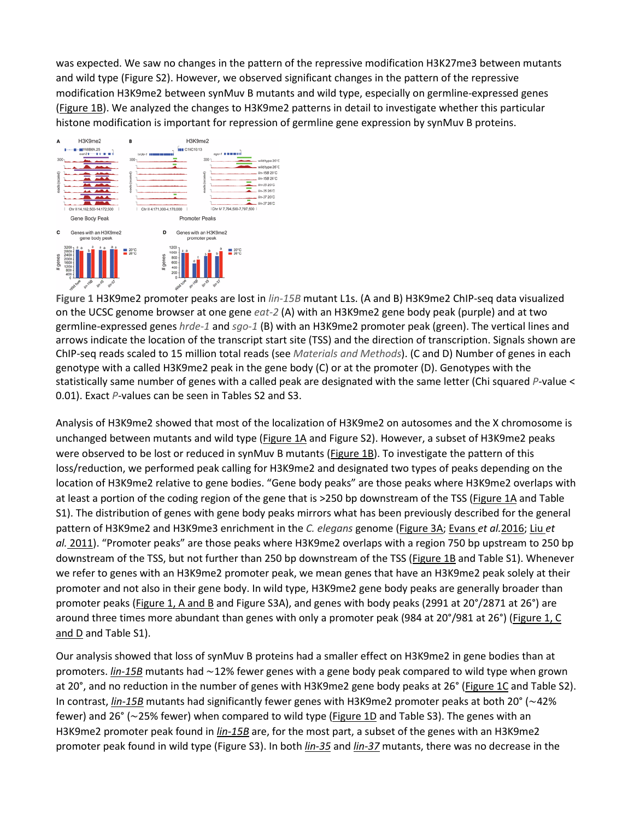was expected. We saw no changes in the pattern of the repressive modification H3K27me3 between mutants and wild type (Figure S2). However, we observed significant changes in the pattern of the repressive modification H3K9me2 between synMuv B mutants and wild type, especially on germline-expressed genes [\(Figure](https://www.genetics.org/content/212/1/125#F1) 1B). We analyzed the changes to H3K9me2 patterns in detail to investigate whether this particular histone modification is important for repression of germline gene expression by synMuv B proteins.



**Figure 1** H3K9me2 promoter peaks are lost in *lin-15B* mutant L1s. (A and B) H3K9me2 ChIP-seq data visualized on the UCSC genome browser at one gene *eat-2* (A) with an H3K9me2 gene body peak (purple) and at two germline-expressed genes *hrde-1* and *sgo-1* (B) with an H3K9me2 promoter peak (green). The vertical lines and arrows indicate the location of the transcript start site (TSS) and the direction of transcription. Signals shown are ChIP-seq reads scaled to 15 million total reads (see *Materials and Methods*). (C and D) Number of genes in each genotype with a called H3K9me2 peak in the gene body (C) or at the promoter (D). Genotypes with the statistically same number of genes with a called peak are designated with the same letter (Chi squared *P*-value < 0.01). Exact *P*-values can be seen in Tables S2 and S3.

Analysis of H3K9me2 showed that most of the localization of H3K9me2 on autosomes and the X chromosome is unchanged between mutants and wild type [\(Figure](https://www.genetics.org/content/212/1/125#F1) 1A and Figure S2). However, a subset of H3K9me2 peaks were observed to be lost or reduced in synMuv B mutants [\(Figure](https://www.genetics.org/content/212/1/125#F1) 1B). To investigate the pattern of this loss/reduction, we performed peak calling for H3K9me2 and designated two types of peaks depending on the location of H3K9me2 relative to gene bodies. "Gene body peaks" are those peaks where H3K9me2 overlaps with at least a portion of the coding region of the gene that is >250 bp downstream of the TSS [\(Figure](https://www.genetics.org/content/212/1/125#F1) 1A and Table S1). The distribution of genes with gene body peaks mirrors what has been previously described for the general pattern of H3K9me2 and H3K9me3 enrichment in the *C. elegans* genome [\(Figure](https://www.genetics.org/content/212/1/125#F3) 3A; [Evans](https://www.genetics.org/content/212/1/125#ref-12) *et al.*2016; [Liu](https://www.genetics.org/content/212/1/125#ref-31) *et al.* [2011\)](https://www.genetics.org/content/212/1/125#ref-31). "Promoter peaks" are those peaks where H3K9me2 overlaps with a region 750 bp upstream to 250 bp downstream of the TSS, but not further than 250 bp downstream of the TSS [\(Figure](https://www.genetics.org/content/212/1/125#F1) 1B and Table S1). Whenever we refer to genes with an H3K9me2 promoter peak, we mean genes that have an H3K9me2 peak solely at their promoter and not also in their gene body. In wild type, H3K9me2 gene body peaks are generally broader than promoter peaks [\(Figure](https://www.genetics.org/content/212/1/125#F1) 1, A and B and Figure S3A), and genes with body peaks (2991 at 20°/2871 at 26°) are around three times more abundant than genes with only a promoter peak (984 at 20°/981 at 26°) [\(Figure](https://www.genetics.org/content/212/1/125#F1) 1, C [and](https://www.genetics.org/content/212/1/125#F1) D and Table S1).

Our analysis showed that loss of synMuv B proteins had a smaller effect on H3K9me2 in gene bodies than at promoters. *[lin-15B](http://www.wormbase.org/db/get?name=WBGene00023497;class=Gene)* mutants had ∼12% fewer genes with a gene body peak compared to wild type when grown at 20°, and no reduction in the number of genes with H3K9me2 gene body peaks at 26° [\(Figure](https://www.genetics.org/content/212/1/125#F1) 1C and Table S2). In contrast, *[lin-15B](http://www.wormbase.org/db/get?name=WBGene00023497;class=Gene)* mutants had significantly fewer genes with H3K9me2 promoter peaks at both 20° (∼42% fewer) and 26° (~25% fewer) when compared to wild type [\(Figure](https://www.genetics.org/content/212/1/125#F1) 1D and Table S3). The genes with an H3K9me2 promoter peak found in *[lin-15B](http://www.wormbase.org/db/get?name=WBGene00023497;class=Gene)* are, for the most part, a subset of the genes with an H3K9me2 promoter peak found in wild type (Figure S3). In both *[lin-35](http://www.wormbase.org/db/get?name=WBGene00003020;class=Gene)* and *[lin-37](http://www.wormbase.org/db/get?name=WBGene00003022;class=Gene)* mutants, there was no decrease in the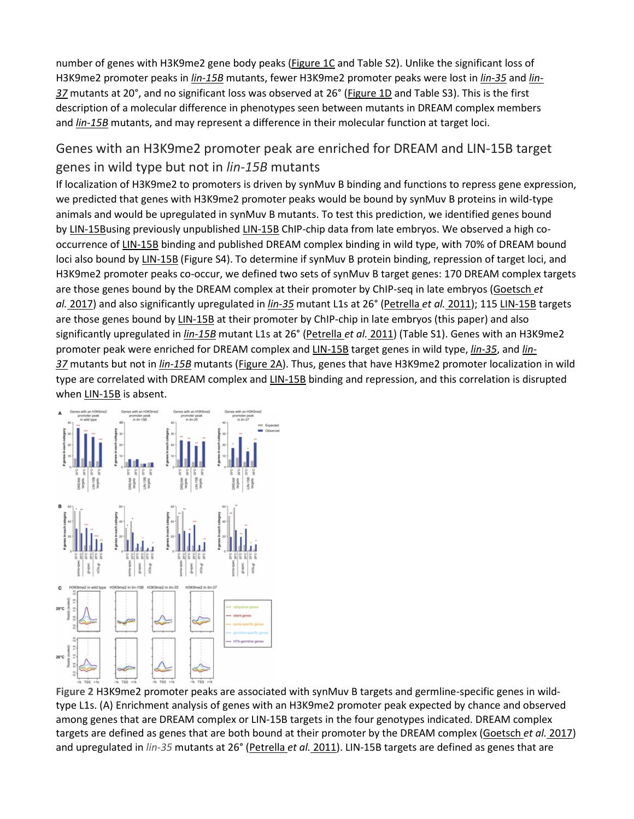number of genes with H3K9me2 gene body peaks (*Figure 1C* and Table S2). Unlike the significant loss of H3K9me2 promoter peaks in *[lin-15B](http://www.wormbase.org/db/get?name=WBGene00023497;class=Gene)* mutants, fewer H3K9me2 promoter peaks were lost in *[lin-35](http://www.wormbase.org/db/get?name=WBGene00003020;class=Gene)* and *[lin-](http://www.wormbase.org/db/get?name=WBGene00003022;class=Gene)[37](http://www.wormbase.org/db/get?name=WBGene00003022;class=Gene)* mutants at 20°, and no significant loss was observed at 26° [\(Figure](https://www.genetics.org/content/212/1/125#F1) 1D and Table S3). This is the first description of a molecular difference in phenotypes seen between mutants in DREAM complex members and *[lin-15B](http://www.wormbase.org/db/get?name=WBGene00023497;class=Gene)* mutants, and may represent a difference in their molecular function at target loci.

## Genes with an H3K9me2 promoter peak are enriched for DREAM and LIN-15B target genes in wild type but not in *lin-15B* mutants

If localization of H3K9me2 to promoters is driven by synMuv B binding and functions to repress gene expression, we predicted that genes with H3K9me2 promoter peaks would be bound by synMuv B proteins in wild-type animals and would be upregulated in synMuv B mutants. To test this prediction, we identified genes bound by [LIN-15Bu](http://www.wormbase.org/db/get?name=WBGene00023497;class=Gene)sing previously unpublished [LIN-15B](http://www.wormbase.org/db/get?name=WBGene00023497;class=Gene) ChIP-chip data from late embryos. We observed a high cooccurrence of [LIN-15B](http://www.wormbase.org/db/get?name=WBGene00023497;class=Gene) binding and published DREAM complex binding in wild type, with 70% of DREAM bound loci also bound by [LIN-15B](http://www.wormbase.org/db/get?name=WBGene00023497;class=Gene) (Figure S4). To determine if synMuv B protein binding, repression of target loci, and H3K9me2 promoter peaks co-occur, we defined two sets of synMuv B target genes: 170 DREAM complex targets are those genes bound by the DREAM complex at their promoter by ChIP-seq in late embryos [\(Goetsch](https://www.genetics.org/content/212/1/125#ref-17) *et al.* [2017\)](https://www.genetics.org/content/212/1/125#ref-17) and also significantly upregulated in *[lin-35](http://www.wormbase.org/db/get?name=WBGene00003020;class=Gene)* mutant L1s at 26° [\(Petrella](https://www.genetics.org/content/212/1/125#ref-38) *et al.* 2011); 115 [LIN-15B](http://www.wormbase.org/db/get?name=WBGene00023497;class=Gene) targets are those genes bound by [LIN-15B](http://www.wormbase.org/db/get?name=WBGene00023497;class=Gene) at their promoter by ChIP-chip in late embryos (this paper) and also significantly upregulated in *[lin-15B](http://www.wormbase.org/db/get?name=WBGene00023497;class=Gene)* mutant L1s at 26° [\(Petrella](https://www.genetics.org/content/212/1/125#ref-38) *et al.* 2011) (Table S1). Genes with an H3K9me2 promoter peak were enriched for DREAM complex and [LIN-15B](http://www.wormbase.org/db/get?name=WBGene00023497;class=Gene) target genes in wild type, *[lin-35](http://www.wormbase.org/db/get?name=WBGene00003020;class=Gene)*, and *[lin-](http://www.wormbase.org/db/get?name=WBGene00003022;class=Gene)[37](http://www.wormbase.org/db/get?name=WBGene00003022;class=Gene)* mutants but not in *[lin-15B](http://www.wormbase.org/db/get?name=WBGene00023497;class=Gene)* mutants [\(Figure](https://www.genetics.org/content/212/1/125#F2) 2A). Thus, genes that have H3K9me2 promoter localization in wild type are correlated with DREAM complex and [LIN-15B](http://www.wormbase.org/db/get?name=WBGene00023497;class=Gene) binding and repression, and this correlation is disrupted when [LIN-15B](http://www.wormbase.org/db/get?name=WBGene00023497;class=Gene) is absent.



**Figure 2** H3K9me2 promoter peaks are associated with synMuv B targets and germline-specific genes in wildtype L1s. (A) Enrichment analysis of genes with an H3K9me2 promoter peak expected by chance and observed among genes that are DREAM complex or LIN-15B targets in the four genotypes indicated. DREAM complex targets are defined as genes that are both bound at their promoter by the DREAM complex [\(Goetsch](https://www.genetics.org/content/212/1/125#ref-17) *et al.* 2017) and upregulated in *lin-35* mutants at 26° [\(Petrella](https://www.genetics.org/content/212/1/125#ref-38) *et al.* 2011). LIN-15B targets are defined as genes that are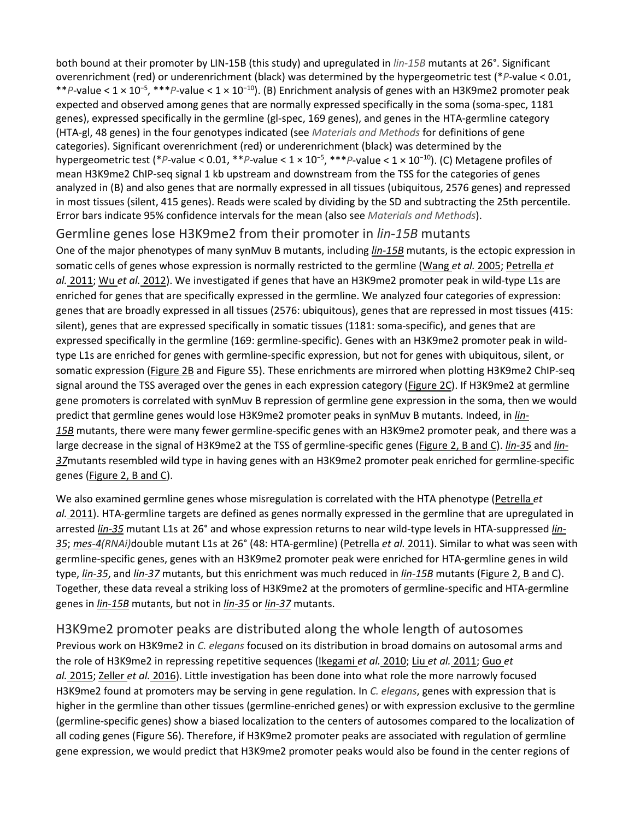both bound at their promoter by LIN-15B (this study) and upregulated in *lin-15B* mutants at 26°. Significant overenrichment (red) or underenrichment (black) was determined by the hypergeometric test (\**P*-value < 0.01, \*\*P-value < 1 × 10<sup>-5</sup>, \*\*\*P-value < 1 × 10<sup>-10</sup>). (B) Enrichment analysis of genes with an H3K9me2 promoter peak expected and observed among genes that are normally expressed specifically in the soma (soma-spec, 1181 genes), expressed specifically in the germline (gl-spec, 169 genes), and genes in the HTA-germline category (HTA-gl, 48 genes) in the four genotypes indicated (see *Materials and Methods* for definitions of gene categories). Significant overenrichment (red) or underenrichment (black) was determined by the hypergeometric test (\**P*-value < 0.01, \*\**P*-value < 1 × 10<sup>−</sup><sup>5</sup> , \*\*\**P*-value < 1 × 10<sup>−</sup>10). (C) Metagene profiles of mean H3K9me2 ChIP-seq signal 1 kb upstream and downstream from the TSS for the categories of genes analyzed in (B) and also genes that are normally expressed in all tissues (ubiquitous, 2576 genes) and repressed in most tissues (silent, 415 genes). Reads were scaled by dividing by the SD and subtracting the 25th percentile. Error bars indicate 95% confidence intervals for the mean (also see *Materials and Methods*).

#### Germline genes lose H3K9me2 from their promoter in *lin-15B* mutants

One of the major phenotypes of many synMuv B mutants, including *[lin-15B](http://www.wormbase.org/db/get?name=WBGene00023497;class=Gene)* mutants, is the ectopic expression in somatic cells of genes whose expression is normally restricted to the germline [\(Wang](https://www.genetics.org/content/212/1/125#ref-56) *et al.* 2005; [Petrella](https://www.genetics.org/content/212/1/125#ref-38) *et al.* [2011;](https://www.genetics.org/content/212/1/125#ref-38) Wu *et al.* [2012\)](https://www.genetics.org/content/212/1/125#ref-60). We investigated if genes that have an H3K9me2 promoter peak in wild-type L1s are enriched for genes that are specifically expressed in the germline. We analyzed four categories of expression: genes that are broadly expressed in all tissues (2576: ubiquitous), genes that are repressed in most tissues (415: silent), genes that are expressed specifically in somatic tissues (1181: soma-specific), and genes that are expressed specifically in the germline (169: germline-specific). Genes with an H3K9me2 promoter peak in wildtype L1s are enriched for genes with germline-specific expression, but not for genes with ubiquitous, silent, or somatic expression [\(Figure](https://www.genetics.org/content/212/1/125#F2) 2B and Figure S5). These enrichments are mirrored when plotting H3K9me2 ChIP-seq signal around the TSS averaged over the genes in each expression category (*Figure 2C*). If H3K9me2 at germline gene promoters is correlated with synMuv B repression of germline gene expression in the soma, then we would predict that germline genes would lose H3K9me2 promoter peaks in synMuv B mutants. Indeed, in *[lin-](http://www.wormbase.org/db/get?name=WBGene00023497;class=Gene)[15B](http://www.wormbase.org/db/get?name=WBGene00023497;class=Gene)* mutants, there were many fewer germline-specific genes with an H3K9me2 promoter peak, and there was a large decrease in the signal of H3K9me2 at the TSS of germline-specific genes [\(Figure](https://www.genetics.org/content/212/1/125#F2) 2, B and C). *[lin-35](http://www.wormbase.org/db/get?name=WBGene00003020;class=Gene)* and *[lin-](http://www.wormbase.org/db/get?name=WBGene00003022;class=Gene)[37](http://www.wormbase.org/db/get?name=WBGene00003022;class=Gene)*mutants resembled wild type in having genes with an H3K9me2 promoter peak enriched for germline-specific genes [\(Figure](https://www.genetics.org/content/212/1/125#F2) 2, B and C).

We also examined germline genes whose misregulation is correlated with the HTA phenotype [\(Petrella](https://www.genetics.org/content/212/1/125#ref-38) *et al.* [2011\)](https://www.genetics.org/content/212/1/125#ref-38). HTA-germline targets are defined as genes normally expressed in the germline that are upregulated in arrested *[lin-35](http://www.wormbase.org/db/get?name=WBGene00003020;class=Gene)* mutant L1s at 26° and whose expression returns to near wild-type levels in HTA-suppressed *[lin-](http://www.wormbase.org/db/get?name=WBGene00003020;class=Gene)[35](http://www.wormbase.org/db/get?name=WBGene00003020;class=Gene)*; *[mes-4\(](http://www.wormbase.org/db/get?name=WBGene00003222;class=Gene)RNAi)*double mutant L1s at 26° (48: HTA-germline) [\(Petrella](https://www.genetics.org/content/212/1/125#ref-38) *et al.* 2011). Similar to what was seen with germline-specific genes, genes with an H3K9me2 promoter peak were enriched for HTA-germline genes in wild type, *[lin-35](http://www.wormbase.org/db/get?name=WBGene00003020;class=Gene)*, and *[lin-37](http://www.wormbase.org/db/get?name=WBGene00003022;class=Gene)* mutants, but this enrichment was much reduced in *[lin-15B](http://www.wormbase.org/db/get?name=WBGene00023497;class=Gene)* mutants [\(Figure](https://www.genetics.org/content/212/1/125#F2) 2, B and C). Together, these data reveal a striking loss of H3K9me2 at the promoters of germline-specific and HTA-germline genes in *[lin-15B](http://www.wormbase.org/db/get?name=WBGene00023497;class=Gene)* mutants, but not in *[lin-35](http://www.wormbase.org/db/get?name=WBGene00003020;class=Gene)* or *[lin-37](http://www.wormbase.org/db/get?name=WBGene00003022;class=Gene)* mutants.

#### H3K9me2 promoter peaks are distributed along the whole length of autosomes

Previous work on H3K9me2 in *C. elegans* focused on its distribution in broad domains on autosomal arms and the role of H3K9me2 in repressing repetitive sequences [\(Ikegami](https://www.genetics.org/content/212/1/125#ref-21) *et al.* 2010; Liu *et al.* [2011;](https://www.genetics.org/content/212/1/125#ref-31) [Guo](https://www.genetics.org/content/212/1/125#ref-18) *et al.* [2015;](https://www.genetics.org/content/212/1/125#ref-18) [Zeller](https://www.genetics.org/content/212/1/125#ref-61) *et al.* 2016). Little investigation has been done into what role the more narrowly focused H3K9me2 found at promoters may be serving in gene regulation. In *C. elegans*, genes with expression that is higher in the germline than other tissues (germline-enriched genes) or with expression exclusive to the germline (germline-specific genes) show a biased localization to the centers of autosomes compared to the localization of all coding genes (Figure S6). Therefore, if H3K9me2 promoter peaks are associated with regulation of germline gene expression, we would predict that H3K9me2 promoter peaks would also be found in the center regions of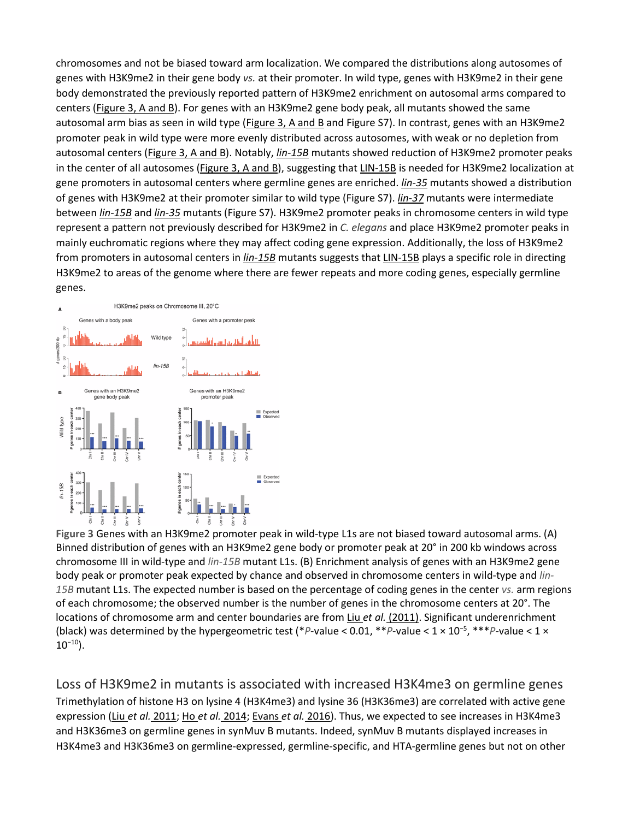chromosomes and not be biased toward arm localization. We compared the distributions along autosomes of genes with H3K9me2 in their gene body *vs.* at their promoter. In wild type, genes with H3K9me2 in their gene body demonstrated the previously reported pattern of H3K9me2 enrichment on autosomal arms compared to centers [\(Figure](https://www.genetics.org/content/212/1/125#F3) 3, A and B). For genes with an H3K9me2 gene body peak, all mutants showed the same autosomal arm bias as seen in wild type [\(Figure](https://www.genetics.org/content/212/1/125#F3) 3, A and B and Figure S7). In contrast, genes with an H3K9me2 promoter peak in wild type were more evenly distributed across autosomes, with weak or no depletion from autosomal centers [\(Figure](https://www.genetics.org/content/212/1/125#F3) 3, A and B). Notably, *[lin-15B](http://www.wormbase.org/db/get?name=WBGene00023497;class=Gene)* mutants showed reduction of H3K9me2 promoter peaks in the center of all autosomes [\(Figure](https://www.genetics.org/content/212/1/125#F3) 3, A and B), suggesting that [LIN-15B](http://www.wormbase.org/db/get?name=WBGene00023497;class=Gene) is needed for H3K9me2 localization at gene promoters in autosomal centers where germline genes are enriched. *[lin-35](http://www.wormbase.org/db/get?name=WBGene00003020;class=Gene)* mutants showed a distribution of genes with H3K9me2 at their promoter similar to wild type (Figure S7). *[lin-37](http://www.wormbase.org/db/get?name=WBGene00003022;class=Gene)* mutants were intermediate between *[lin-15B](http://www.wormbase.org/db/get?name=WBGene00023497;class=Gene)* and *[lin-35](http://www.wormbase.org/db/get?name=WBGene00003020;class=Gene)* mutants (Figure S7). H3K9me2 promoter peaks in chromosome centers in wild type represent a pattern not previously described for H3K9me2 in *C. elegans* and place H3K9me2 promoter peaks in mainly euchromatic regions where they may affect coding gene expression. Additionally, the loss of H3K9me2 from promoters in autosomal centers in *[lin-15B](http://www.wormbase.org/db/get?name=WBGene00023497;class=Gene)* mutants suggests that [LIN-15B](http://www.wormbase.org/db/get?name=WBGene00023497;class=Gene) plays a specific role in directing H3K9me2 to areas of the genome where there are fewer repeats and more coding genes, especially germline genes.



**Figure 3** Genes with an H3K9me2 promoter peak in wild-type L1s are not biased toward autosomal arms. (A) Binned distribution of genes with an H3K9me2 gene body or promoter peak at 20° in 200 kb windows across chromosome III in wild-type and *lin-15B* mutant L1s. (B) Enrichment analysis of genes with an H3K9me2 gene body peak or promoter peak expected by chance and observed in chromosome centers in wild-type and *lin-15B* mutant L1s. The expected number is based on the percentage of coding genes in the center *vs.* arm regions of each chromosome; the observed number is the number of genes in the chromosome centers at 20°. The locations of chromosome arm and center boundaries are from Liu et al. [\(2011\).](https://www.genetics.org/content/212/1/125#ref-31) Significant underenrichment (black) was determined by the hypergeometric test (\**P*-value < 0.01, \*\**P*-value < 1 × 10<sup>−</sup><sup>5</sup> , \*\*\**P*-value < 1 ×  $10^{-10}$ ).

#### Loss of H3K9me2 in mutants is associated with increased H3K4me3 on germline genes

Trimethylation of histone H3 on lysine 4 (H3K4me3) and lysine 36 (H3K36me3) are correlated with active gene expression (Liu *et al.* [2011;](https://www.genetics.org/content/212/1/125#ref-31) Ho *et al.* [2014;](https://www.genetics.org/content/212/1/125#ref-20) [Evans](https://www.genetics.org/content/212/1/125#ref-12) *et al.* 2016). Thus, we expected to see increases in H3K4me3 and H3K36me3 on germline genes in synMuv B mutants. Indeed, synMuv B mutants displayed increases in H3K4me3 and H3K36me3 on germline-expressed, germline-specific, and HTA-germline genes but not on other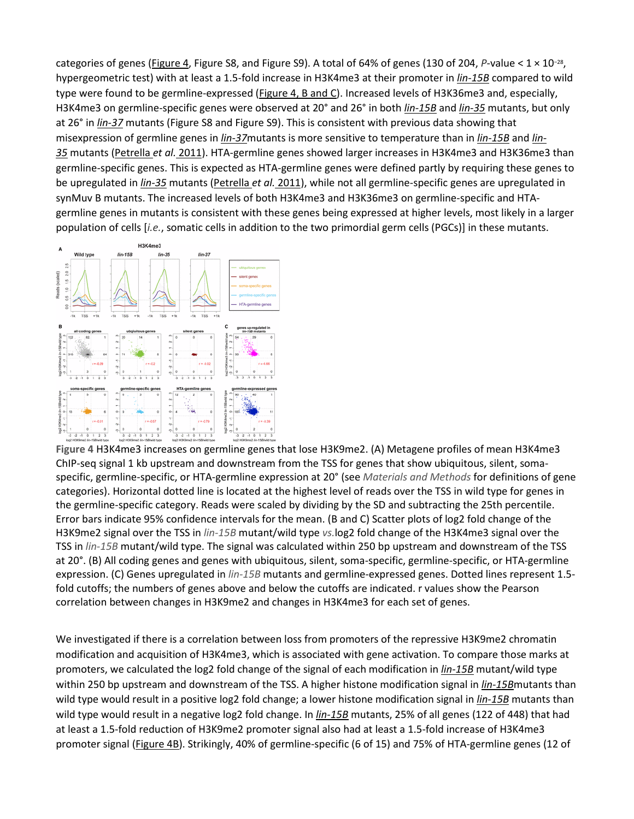categories of genes [\(Figure](https://www.genetics.org/content/212/1/125#F4) 4, Figure S8, and Figure S9). A total of 64% of genes (130 of 204, *P*-value < 1 × 10−28, hypergeometric test) with at least a 1.5-fold increase in H3K4me3 at their promoter in *[lin-15B](http://www.wormbase.org/db/get?name=WBGene00023497;class=Gene)* compared to wild type were found to be germline-expressed [\(Figure](https://www.genetics.org/content/212/1/125#F4) 4, B and C). Increased levels of H3K36me3 and, especially, H3K4me3 on germline-specific genes were observed at 20° and 26° in both *[lin-15B](http://www.wormbase.org/db/get?name=WBGene00023497;class=Gene)* and *[lin-35](http://www.wormbase.org/db/get?name=WBGene00003020;class=Gene)* mutants, but only at 26° in *[lin-37](http://www.wormbase.org/db/get?name=WBGene00003022;class=Gene)* mutants (Figure S8 and Figure S9). This is consistent with previous data showing that misexpression of germline genes in *[lin-37](http://www.wormbase.org/db/get?name=WBGene00003022;class=Gene)*mutants is more sensitive to temperature than in *[lin-15B](http://www.wormbase.org/db/get?name=WBGene00023497;class=Gene)* and *[lin-](http://www.wormbase.org/db/get?name=WBGene00003020;class=Gene)[35](http://www.wormbase.org/db/get?name=WBGene00003020;class=Gene)* mutants [\(Petrella](https://www.genetics.org/content/212/1/125#ref-38) *et al.* 2011). HTA-germline genes showed larger increases in H3K4me3 and H3K36me3 than germline-specific genes. This is expected as HTA-germline genes were defined partly by requiring these genes to be upregulated in *[lin-35](http://www.wormbase.org/db/get?name=WBGene00003020;class=Gene)* mutants [\(Petrella](https://www.genetics.org/content/212/1/125#ref-38) *et al.* 2011), while not all germline-specific genes are upregulated in synMuv B mutants. The increased levels of both H3K4me3 and H3K36me3 on germline-specific and HTAgermline genes in mutants is consistent with these genes being expressed at higher levels, most likely in a larger population of cells [*i.e.*, somatic cells in addition to the two primordial germ cells (PGCs)] in these mutants.



**Figure 4** H3K4me3 increases on germline genes that lose H3K9me2. (A) Metagene profiles of mean H3K4me3 ChIP-seq signal 1 kb upstream and downstream from the TSS for genes that show ubiquitous, silent, somaspecific, germline-specific, or HTA-germline expression at 20° (see *Materials and Methods* for definitions of gene categories). Horizontal dotted line is located at the highest level of reads over the TSS in wild type for genes in the germline-specific category. Reads were scaled by dividing by the SD and subtracting the 25th percentile. Error bars indicate 95% confidence intervals for the mean. (B and C) Scatter plots of log2 fold change of the H3K9me2 signal over the TSS in *lin-15B* mutant/wild type *vs.*log2 fold change of the H3K4me3 signal over the TSS in *lin-15B* mutant/wild type. The signal was calculated within 250 bp upstream and downstream of the TSS at 20°. (B) All coding genes and genes with ubiquitous, silent, soma-specific, germline-specific, or HTA-germline expression. (C) Genes upregulated in *lin-15B* mutants and germline-expressed genes. Dotted lines represent 1.5 fold cutoffs; the numbers of genes above and below the cutoffs are indicated. r values show the Pearson correlation between changes in H3K9me2 and changes in H3K4me3 for each set of genes.

We investigated if there is a correlation between loss from promoters of the repressive H3K9me2 chromatin modification and acquisition of H3K4me3, which is associated with gene activation. To compare those marks at promoters, we calculated the log2 fold change of the signal of each modification in *[lin-15B](http://www.wormbase.org/db/get?name=WBGene00023497;class=Gene)* mutant/wild type within 250 bp upstream and downstream of the TSS. A higher histone modification signal in *[lin-15B](http://www.wormbase.org/db/get?name=WBGene00023497;class=Gene)*mutants than wild type would result in a positive log2 fold change; a lower histone modification signal in *[lin-15B](http://www.wormbase.org/db/get?name=WBGene00023497;class=Gene)* mutants than wild type would result in a negative log2 fold change. In *[lin-15B](http://www.wormbase.org/db/get?name=WBGene00023497;class=Gene)* mutants, 25% of all genes (122 of 448) that had at least a 1.5-fold reduction of H3K9me2 promoter signal also had at least a 1.5-fold increase of H3K4me3 promoter signal [\(Figure](https://www.genetics.org/content/212/1/125#F4) 4B). Strikingly, 40% of germline-specific (6 of 15) and 75% of HTA-germline genes (12 of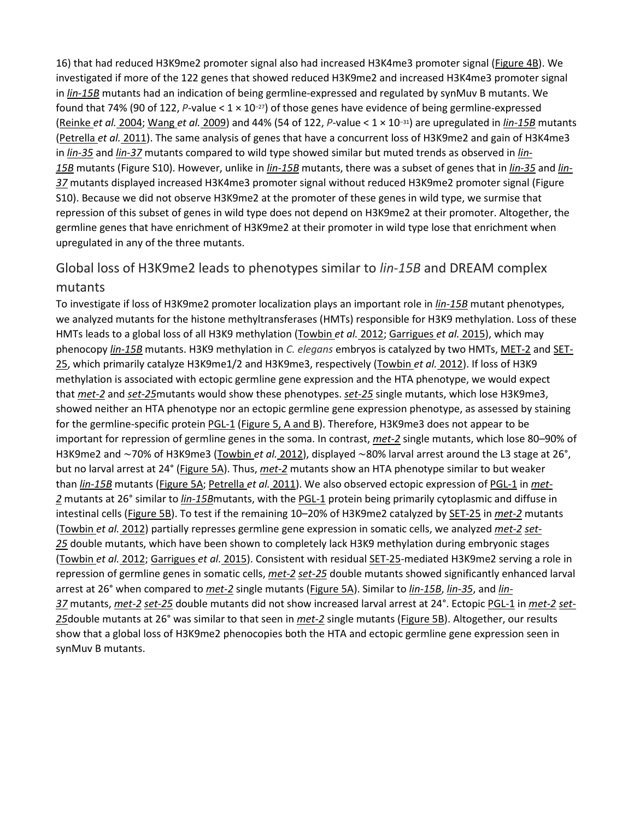16) that had reduced H3K9me2 promoter signal also had increased H3K4me3 promoter signal [\(Figure](https://www.genetics.org/content/212/1/125#F4) 4B). We investigated if more of the 122 genes that showed reduced H3K9me2 and increased H3K4me3 promoter signal in *[lin-15B](http://www.wormbase.org/db/get?name=WBGene00023497;class=Gene)* mutants had an indication of being germline-expressed and regulated by synMuv B mutants. We found that 74% (90 of 122, *P*-value < 1 × 10−27) of those genes have evidence of being germline-expressed [\(Reinke](https://www.genetics.org/content/212/1/125#ref-43) *et al.* 2004; [Wang](https://www.genetics.org/content/212/1/125#ref-57) *et al.* 2009) and 44% (54 of 122, *P*-value < 1 × 10−31) are upregulated in *[lin-15B](http://www.wormbase.org/db/get?name=WBGene00023497;class=Gene)* mutants [\(Petrella](https://www.genetics.org/content/212/1/125#ref-38) *et al.* 2011). The same analysis of genes that have a concurrent loss of H3K9me2 and gain of H3K4me3 in *[lin-35](http://www.wormbase.org/db/get?name=WBGene00003020;class=Gene)* and *[lin-37](http://www.wormbase.org/db/get?name=WBGene00003022;class=Gene)* mutants compared to wild type showed similar but muted trends as observed in *[lin-](http://www.wormbase.org/db/get?name=WBGene00023497;class=Gene)[15B](http://www.wormbase.org/db/get?name=WBGene00023497;class=Gene)* mutants (Figure S10). However, unlike in *[lin-15B](http://www.wormbase.org/db/get?name=WBGene00023497;class=Gene)* mutants, there was a subset of genes that in *[lin-35](http://www.wormbase.org/db/get?name=WBGene00003020;class=Gene)* and *[lin-](http://www.wormbase.org/db/get?name=WBGene00003022;class=Gene)[37](http://www.wormbase.org/db/get?name=WBGene00003022;class=Gene)* mutants displayed increased H3K4me3 promoter signal without reduced H3K9me2 promoter signal (Figure S10). Because we did not observe H3K9me2 at the promoter of these genes in wild type, we surmise that repression of this subset of genes in wild type does not depend on H3K9me2 at their promoter. Altogether, the germline genes that have enrichment of H3K9me2 at their promoter in wild type lose that enrichment when upregulated in any of the three mutants.

#### Global loss of H3K9me2 leads to phenotypes similar to *lin-15B* and DREAM complex mutants

To investigate if loss of H3K9me2 promoter localization plays an important role in *[lin-15B](http://www.wormbase.org/db/get?name=WBGene00023497;class=Gene)* mutant phenotypes, we analyzed mutants for the histone methyltransferases (HMTs) responsible for H3K9 methylation. Loss of these HMTs leads to a global loss of all H3K9 methylation [\(Towbin](https://www.genetics.org/content/212/1/125#ref-54) *et al.* 2012; [Garrigues](https://www.genetics.org/content/212/1/125#ref-16) *et al.* 2015), which may phenocopy *[lin-15B](http://www.wormbase.org/db/get?name=WBGene00023497;class=Gene)* mutants. H3K9 methylation in *C. elegans* embryos is catalyzed by two HMTs, [MET-2](http://www.wormbase.org/db/get?name=WBGene00019883;class=Gene) and [SET-](http://www.wormbase.org/db/get?name=WBGene00012802;class=Gene)[25,](http://www.wormbase.org/db/get?name=WBGene00012802;class=Gene) which primarily catalyze H3K9me1/2 and H3K9me3, respectively [\(Towbin](https://www.genetics.org/content/212/1/125#ref-54) *et al.* 2012). If loss of H3K9 methylation is associated with ectopic germline gene expression and the HTA phenotype, we would expect that *[met-2](http://www.wormbase.org/db/get?name=WBGene00019883;class=Gene)* and *[set-25](http://www.wormbase.org/db/get?name=WBGene00012802;class=Gene)*mutants would show these phenotypes. *[set-25](http://www.wormbase.org/db/get?name=WBGene00012802;class=Gene)* single mutants, which lose H3K9me3, showed neither an HTA phenotype nor an ectopic germline gene expression phenotype, as assessed by staining for the germline-specific protein [PGL-1](http://www.wormbase.org/db/get?name=WBGene00003992;class=Gene) [\(Figure](https://www.genetics.org/content/212/1/125#F5) 5, A and B). Therefore, H3K9me3 does not appear to be important for repression of germline genes in the soma. In contrast, *[met-2](http://www.wormbase.org/db/get?name=WBGene00019883;class=Gene)* single mutants, which lose 80–90% of H3K9me2 and ∼70% of H3K9me3 [\(Towbin](https://www.genetics.org/content/212/1/125#ref-54) *et al.* 2012), displayed ∼80% larval arrest around the L3 stage at 26°, but no larval arrest at 24° [\(Figure](https://www.genetics.org/content/212/1/125#F5) 5A). Thus, *[met-2](http://www.wormbase.org/db/get?name=WBGene00019883;class=Gene)* mutants show an HTA phenotype similar to but weaker than *[lin-15B](http://www.wormbase.org/db/get?name=WBGene00023497;class=Gene)* mutants [\(Figure](https://www.genetics.org/content/212/1/125#F5) 5A; [Petrella](https://www.genetics.org/content/212/1/125#ref-38) *et al.* 2011). We also observed ectopic expression of [PGL-1](http://www.wormbase.org/db/get?name=WBGene00003992;class=Gene) in *[met-](http://www.wormbase.org/db/get?name=WBGene00019883;class=Gene)[2](http://www.wormbase.org/db/get?name=WBGene00019883;class=Gene)* mutants at 26° similar to *[lin-15B](http://www.wormbase.org/db/get?name=WBGene00023497;class=Gene)*mutants, with the [PGL-1](http://www.wormbase.org/db/get?name=WBGene00003992;class=Gene) protein being primarily cytoplasmic and diffuse in intestinal cells [\(Figure](https://www.genetics.org/content/212/1/125#F5) 5B). To test if the remaining 10–20% of H3K9me2 catalyzed by [SET-25](http://www.wormbase.org/db/get?name=WBGene00012802;class=Gene) in *[met-2](http://www.wormbase.org/db/get?name=WBGene00019883;class=Gene)* mutants [\(Towbin](https://www.genetics.org/content/212/1/125#ref-54) *et al.* 2012) partially represses germline gene expression in somatic cells, we analyzed *[met-2](http://www.wormbase.org/db/get?name=WBGene00019883;class=Gene) [set-](http://www.wormbase.org/db/get?name=WBGene00012802;class=Gene)[25](http://www.wormbase.org/db/get?name=WBGene00012802;class=Gene)* double mutants, which have been shown to completely lack H3K9 methylation during embryonic stages [\(Towbin](https://www.genetics.org/content/212/1/125#ref-54) *et al.* 2012; [Garrigues](https://www.genetics.org/content/212/1/125#ref-16) *et al.* 2015). Consistent with residual [SET-25-](http://www.wormbase.org/db/get?name=WBGene00012802;class=Gene)mediated H3K9me2 serving a role in repression of germline genes in somatic cells, *[met-2](http://www.wormbase.org/db/get?name=WBGene00019883;class=Gene) [set-25](http://www.wormbase.org/db/get?name=WBGene00012802;class=Gene)* double mutants showed significantly enhanced larval arrest at 26° when compared to *[met-2](http://www.wormbase.org/db/get?name=WBGene00019883;class=Gene)* single mutants [\(Figure](https://www.genetics.org/content/212/1/125#F5) 5A). Similar to *[lin-15B](http://www.wormbase.org/db/get?name=WBGene00023497;class=Gene)*, *[lin-35](http://www.wormbase.org/db/get?name=WBGene00003020;class=Gene)*, and *[lin-](http://www.wormbase.org/db/get?name=WBGene00003022;class=Gene)[37](http://www.wormbase.org/db/get?name=WBGene00003022;class=Gene)* mutants, *[met-2](http://www.wormbase.org/db/get?name=WBGene00019883;class=Gene) [set-25](http://www.wormbase.org/db/get?name=WBGene00012802;class=Gene)* double mutants did not show increased larval arrest at 24°. Ectopic [PGL-1](http://www.wormbase.org/db/get?name=WBGene00003992;class=Gene) in *[met-2](http://www.wormbase.org/db/get?name=WBGene00019883;class=Gene) [set-](http://www.wormbase.org/db/get?name=WBGene00012802;class=Gene)[25](http://www.wormbase.org/db/get?name=WBGene00012802;class=Gene)*double mutants at 26° was similar to that seen in *[met-2](http://www.wormbase.org/db/get?name=WBGene00019883;class=Gene)* single mutants [\(Figure](https://www.genetics.org/content/212/1/125#F5) 5B). Altogether, our results show that a global loss of H3K9me2 phenocopies both the HTA and ectopic germline gene expression seen in synMuv B mutants.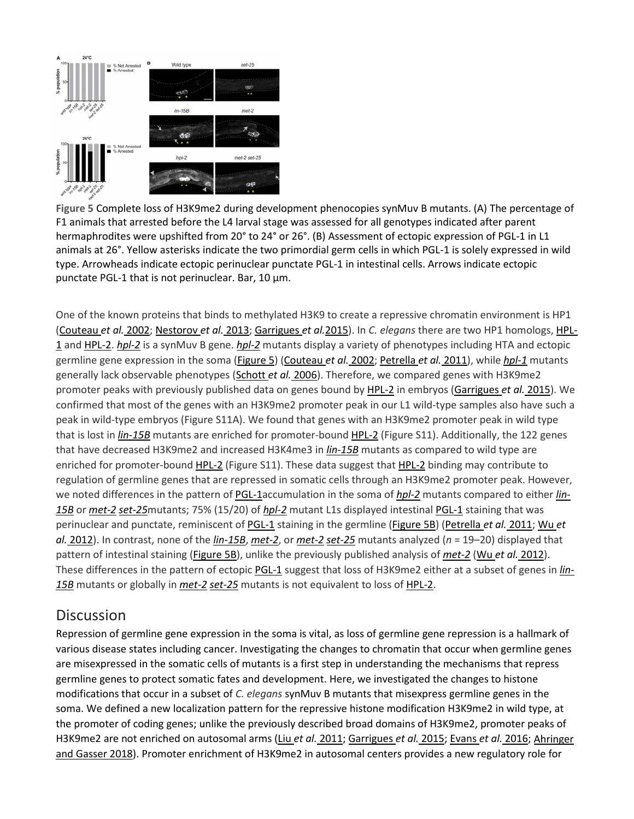

**Figure 5** Complete loss of H3K9me2 during development phenocopies synMuv B mutants. (A) The percentage of F1 animals that arrested before the L4 larval stage was assessed for all genotypes indicated after parent hermaphrodites were upshifted from 20° to 24° or 26°. (B) Assessment of ectopic expression of PGL-1 in L1 animals at 26°. Yellow asterisks indicate the two primordial germ cells in which PGL-1 is solely expressed in wild type. Arrowheads indicate ectopic perinuclear punctate PGL-1 in intestinal cells. Arrows indicate ectopic punctate PGL-1 that is not perinuclear. Bar, 10 µm.

One of the known proteins that binds to methylated H3K9 to create a repressive chromatin environment is HP1 [\(Couteau](https://www.genetics.org/content/212/1/125#ref-7) *et al.* 2002; [Nestorov](https://www.genetics.org/content/212/1/125#ref-37) *et al.* 2013; [Garrigues](https://www.genetics.org/content/212/1/125#ref-16) *et al.*2015). In *C. elegans* there are two HP1 homologs, [HPL-](http://www.wormbase.org/db/get?name=WBGene00001995;class=Gene)[1](http://www.wormbase.org/db/get?name=WBGene00001995;class=Gene) and [HPL-2.](http://www.wormbase.org/db/get?name=WBGene00001996;class=Gene) *[hpl-2](http://www.wormbase.org/db/get?name=WBGene00001996;class=Gene)* is a synMuv B gene. *[hpl-2](http://www.wormbase.org/db/get?name=WBGene00001996;class=Gene)* mutants display a variety of phenotypes including HTA and ectopic germline gene expression in the soma [\(Figure](https://www.genetics.org/content/212/1/125#F5) 5) [\(Couteau](https://www.genetics.org/content/212/1/125#ref-7) *et al.* 2002; [Petrella](https://www.genetics.org/content/212/1/125#ref-38) *et al.* 2011), while *[hpl-1](http://www.wormbase.org/db/get?name=WBGene00001995;class=Gene)* mutants generally lack observable phenotypes [\(Schott](https://www.genetics.org/content/212/1/125#ref-46) *et al.* 2006). Therefore, we compared genes with H3K9me2 promoter peaks with previously published data on genes bound by [HPL-2](http://www.wormbase.org/db/get?name=WBGene00001996;class=Gene) in embryos [\(Garrigues](https://www.genetics.org/content/212/1/125#ref-16) *et al.* 2015). We confirmed that most of the genes with an H3K9me2 promoter peak in our L1 wild-type samples also have such a peak in wild-type embryos (Figure S11A). We found that genes with an H3K9me2 promoter peak in wild type that is lost in *[lin-15B](http://www.wormbase.org/db/get?name=WBGene00023497;class=Gene)* mutants are enriched for promoter-bound [HPL-2](http://www.wormbase.org/db/get?name=WBGene00001996;class=Gene) (Figure S11). Additionally, the 122 genes that have decreased H3K9me2 and increased H3K4me3 in *[lin-15B](http://www.wormbase.org/db/get?name=WBGene00023497;class=Gene)* mutants as compared to wild type are enriched for promoter-bound **[HPL-2](http://www.wormbase.org/db/get?name=WBGene00001996;class=Gene)** (Figure S11). These data suggest that HPL-2 binding may contribute to regulation of germline genes that are repressed in somatic cells through an H3K9me2 promoter peak. However, we noted differences in the pattern of [PGL-1a](http://www.wormbase.org/db/get?name=WBGene00003992;class=Gene)ccumulation in the soma of *[hpl-2](http://www.wormbase.org/db/get?name=WBGene00001996;class=Gene)* mutants compared to either *[lin-](http://www.wormbase.org/db/get?name=WBGene00023497;class=Gene)[15B](http://www.wormbase.org/db/get?name=WBGene00023497;class=Gene)* or *[met-2](http://www.wormbase.org/db/get?name=WBGene00019883;class=Gene) [set-25](http://www.wormbase.org/db/get?name=WBGene00012802;class=Gene)*mutants; 75% (15/20) of *[hpl-2](http://www.wormbase.org/db/get?name=WBGene00001996;class=Gene)* mutant L1s displayed intestinal [PGL-1](http://www.wormbase.org/db/get?name=WBGene00003992;class=Gene) staining that was perinuclear and punctate, reminiscent of [PGL-1](http://www.wormbase.org/db/get?name=WBGene00003992;class=Gene) staining in the germline [\(Figure](https://www.genetics.org/content/212/1/125#F5) 5B) [\(Petrella](https://www.genetics.org/content/212/1/125#ref-38) *et al.* 2011; [Wu](https://www.genetics.org/content/212/1/125#ref-60) *et al.* [2012\)](https://www.genetics.org/content/212/1/125#ref-60). In contrast, none of the *[lin-15B](http://www.wormbase.org/db/get?name=WBGene00023497;class=Gene)*, *[met-2](http://www.wormbase.org/db/get?name=WBGene00019883;class=Gene)*, or *[met-2](http://www.wormbase.org/db/get?name=WBGene00019883;class=Gene) [set-25](http://www.wormbase.org/db/get?name=WBGene00012802;class=Gene)* mutants analyzed (*n* = 19–20) displayed that pattern of intestinal staining [\(Figure](https://www.genetics.org/content/212/1/125#F5) 5B), unlike the previously published analysis of *[met-2](http://www.wormbase.org/db/get?name=WBGene00019883;class=Gene)* (Wu *et al.* [2012\)](https://www.genetics.org/content/212/1/125#ref-60). These differences in the pattern of ectopic [PGL-1](http://www.wormbase.org/db/get?name=WBGene00003992;class=Gene) suggest that loss of H3K9me2 either at a subset of genes in *[lin-](http://www.wormbase.org/db/get?name=WBGene00023497;class=Gene)[15B](http://www.wormbase.org/db/get?name=WBGene00023497;class=Gene)* mutants or globally in *[met-2](http://www.wormbase.org/db/get?name=WBGene00019883;class=Gene) [set-25](http://www.wormbase.org/db/get?name=WBGene00012802;class=Gene)* mutants is not equivalent to loss of [HPL-2.](http://www.wormbase.org/db/get?name=WBGene00001996;class=Gene)

#### **Discussion**

Repression of germline gene expression in the soma is vital, as loss of germline gene repression is a hallmark of various disease states including cancer. Investigating the changes to chromatin that occur when germline genes are misexpressed in the somatic cells of mutants is a first step in understanding the mechanisms that repress germline genes to protect somatic fates and development. Here, we investigated the changes to histone modifications that occur in a subset of *C. elegans* synMuv B mutants that misexpress germline genes in the soma. We defined a new localization pattern for the repressive histone modification H3K9me2 in wild type, at the promoter of coding genes; unlike the previously described broad domains of H3K9me2, promoter peaks of H3K9me2 are not enriched on autosomal arms (Liu *et al.* [2011;](https://www.genetics.org/content/212/1/125#ref-31) [Garrigues](https://www.genetics.org/content/212/1/125#ref-16) *et al.* 2015; [Evans](https://www.genetics.org/content/212/1/125#ref-12) *et al.* 2016; [Ahringer](https://www.genetics.org/content/212/1/125#ref-1) and [Gasser](https://www.genetics.org/content/212/1/125#ref-1) 2018). Promoter enrichment of H3K9me2 in autosomal centers provides a new regulatory role for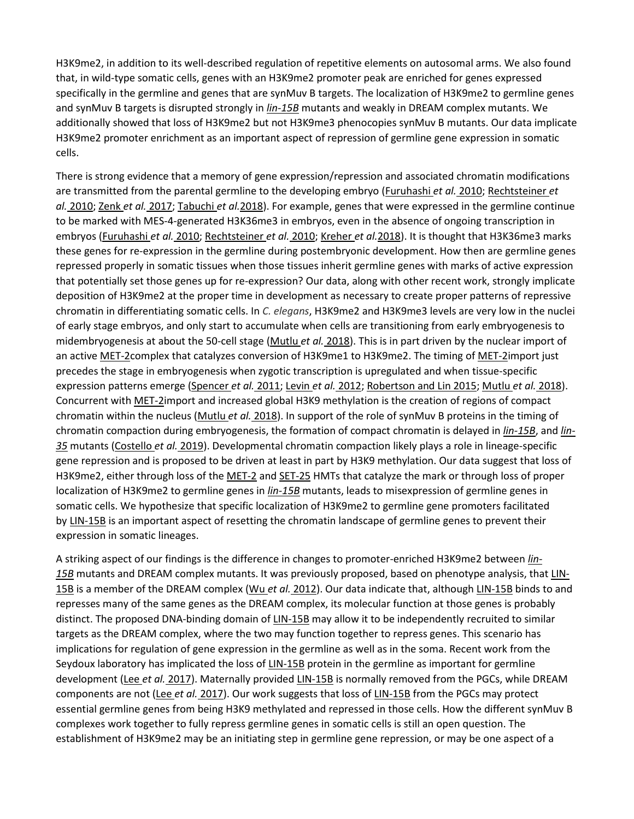H3K9me2, in addition to its well-described regulation of repetitive elements on autosomal arms. We also found that, in wild-type somatic cells, genes with an H3K9me2 promoter peak are enriched for genes expressed specifically in the germline and genes that are synMuv B targets. The localization of H3K9me2 to germline genes and synMuv B targets is disrupted strongly in *[lin-15B](http://www.wormbase.org/db/get?name=WBGene00023497;class=Gene)* mutants and weakly in DREAM complex mutants. We additionally showed that loss of H3K9me2 but not H3K9me3 phenocopies synMuv B mutants. Our data implicate H3K9me2 promoter enrichment as an important aspect of repression of germline gene expression in somatic cells.

There is strong evidence that a memory of gene expression/repression and associated chromatin modifications are transmitted from the parental germline to the developing embryo [\(Furuhashi](https://www.genetics.org/content/212/1/125#ref-15) *et al.* 2010; [Rechtsteiner](https://www.genetics.org/content/212/1/125#ref-41) *et al.* [2010;](https://www.genetics.org/content/212/1/125#ref-41) Zenk *et al.* [2017;](https://www.genetics.org/content/212/1/125#ref-62) [Tabuchi](https://www.genetics.org/content/212/1/125#ref-53) *et al.*2018). For example, genes that were expressed in the germline continue to be marked with MES-4-generated H3K36me3 in embryos, even in the absence of ongoing transcription in embryos [\(Furuhashi](https://www.genetics.org/content/212/1/125#ref-15) *et al.* 2010; [Rechtsteiner](https://www.genetics.org/content/212/1/125#ref-41) *et al.* 2010; [Kreher](https://www.genetics.org/content/212/1/125#ref-26) *et al.*2018). It is thought that H3K36me3 marks these genes for re-expression in the germline during postembryonic development. How then are germline genes repressed properly in somatic tissues when those tissues inherit germline genes with marks of active expression that potentially set those genes up for re-expression? Our data, along with other recent work, strongly implicate deposition of H3K9me2 at the proper time in development as necessary to create proper patterns of repressive chromatin in differentiating somatic cells. In *C. elegans*, H3K9me2 and H3K9me3 levels are very low in the nuclei of early stage embryos, and only start to accumulate when cells are transitioning from early embryogenesis to midembryogenesis at about the 50-cell stage [\(Mutlu](https://www.genetics.org/content/212/1/125#ref-36) *et al.* 2018). This is in part driven by the nuclear import of an active [MET-2c](http://www.wormbase.org/db/get?name=WBGene00019883;class=Gene)omplex that catalyzes conversion of H3K9me1 to H3K9me2. The timing of [MET-2i](http://www.wormbase.org/db/get?name=WBGene00019883;class=Gene)mport just precedes the stage in embryogenesis when zygotic transcription is upregulated and when tissue-specific expression patterns emerge [\(Spencer](https://www.genetics.org/content/212/1/125#ref-51) *et al.* 2011; Levin *et al.* [2012;](https://www.genetics.org/content/212/1/125#ref-30) [Robertson](https://www.genetics.org/content/212/1/125#ref-44) and Lin 2015; [Mutlu](https://www.genetics.org/content/212/1/125#ref-36) *et al.* 2018). Concurrent with [MET-2im](http://www.wormbase.org/db/get?name=WBGene00019883;class=Gene)port and increased global H3K9 methylation is the creation of regions of compact chromatin within the nucleus [\(Mutlu](https://www.genetics.org/content/212/1/125#ref-36) *et al.* 2018). In support of the role of synMuv B proteins in the timing of chromatin compaction during embryogenesis, the formation of compact chromatin is delayed in *[lin-15B](http://www.wormbase.org/db/get?name=WBGene00023497;class=Gene)*, and *[lin-](http://www.wormbase.org/db/get?name=WBGene00003020;class=Gene)[35](http://www.wormbase.org/db/get?name=WBGene00003020;class=Gene)* mutants [\(Costello](https://www.genetics.org/content/212/1/125#ref-5) *et al.* 2019). Developmental chromatin compaction likely plays a role in lineage-specific gene repression and is proposed to be driven at least in part by H3K9 methylation. Our data suggest that loss of H3K9me2, either through loss of the [MET-2](http://www.wormbase.org/db/get?name=WBGene00019883;class=Gene) and [SET-25](http://www.wormbase.org/db/get?name=WBGene00012802;class=Gene) HMTs that catalyze the mark or through loss of proper localization of H3K9me2 to germline genes in *[lin-15B](http://www.wormbase.org/db/get?name=WBGene00023497;class=Gene)* mutants, leads to misexpression of germline genes in somatic cells. We hypothesize that specific localization of H3K9me2 to germline gene promoters facilitated by [LIN-15B](http://www.wormbase.org/db/get?name=WBGene00023497;class=Gene) is an important aspect of resetting the chromatin landscape of germline genes to prevent their expression in somatic lineages.

A striking aspect of our findings is the difference in changes to promoter-enriched H3K9me2 between *[lin-](http://www.wormbase.org/db/get?name=WBGene00023497;class=Gene)*[15B](http://www.wormbase.org/db/get?name=WBGene00023497;class=Gene) mutants and DREAM complex mutants. It was previously proposed, based on phenotype analysis, that [LIN-](http://www.wormbase.org/db/get?name=WBGene00023497;class=Gene)[15B](http://www.wormbase.org/db/get?name=WBGene00023497;class=Gene) is a member of the DREAM complex (Wu *et al.* [2012\)](https://www.genetics.org/content/212/1/125#ref-60). Our data indicate that, although [LIN-15B](http://www.wormbase.org/db/get?name=WBGene00023497;class=Gene) binds to and represses many of the same genes as the DREAM complex, its molecular function at those genes is probably distinct. The proposed DNA-binding domain of [LIN-15B](http://www.wormbase.org/db/get?name=WBGene00023497;class=Gene) may allow it to be independently recruited to similar targets as the DREAM complex, where the two may function together to repress genes. This scenario has implications for regulation of gene expression in the germline as well as in the soma. Recent work from the Seydoux laboratory has implicated the loss of [LIN-15B](http://www.wormbase.org/db/get?name=WBGene00023497;class=Gene) protein in the germline as important for germline development (Lee *et al.* [2017\)](https://www.genetics.org/content/212/1/125#ref-29). Maternally provided [LIN-15B](http://www.wormbase.org/db/get?name=WBGene00023497;class=Gene) is normally removed from the PGCs, while DREAM components are not (Lee *et al.* [2017\)](https://www.genetics.org/content/212/1/125#ref-29). Our work suggests that loss of [LIN-15B](http://www.wormbase.org/db/get?name=WBGene00023497;class=Gene) from the PGCs may protect essential germline genes from being H3K9 methylated and repressed in those cells. How the different synMuv B complexes work together to fully repress germline genes in somatic cells is still an open question. The establishment of H3K9me2 may be an initiating step in germline gene repression, or may be one aspect of a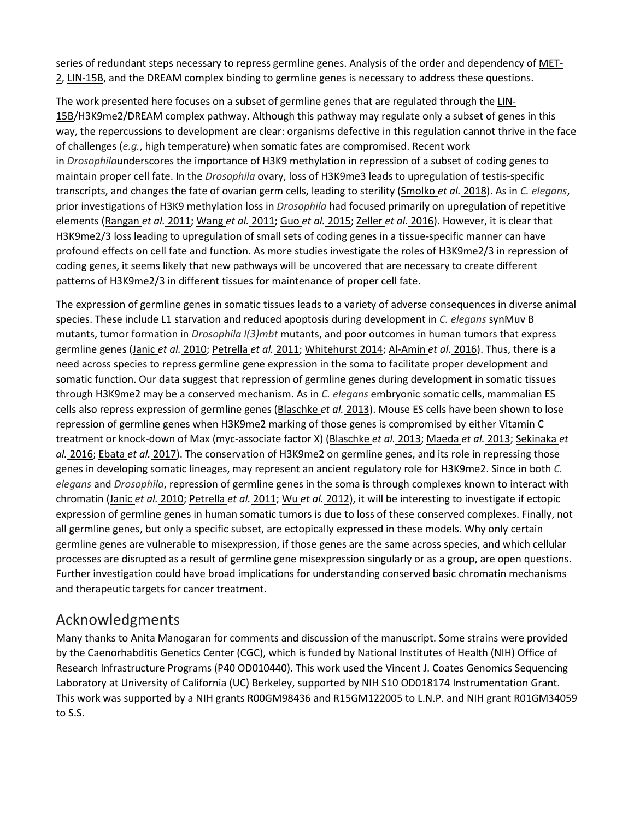series of redundant steps necessary to repress germline genes. Analysis of the order and dependency of [MET-](http://www.wormbase.org/db/get?name=WBGene00019883;class=Gene)[2,](http://www.wormbase.org/db/get?name=WBGene00019883;class=Gene) [LIN-15B,](http://www.wormbase.org/db/get?name=WBGene00023497;class=Gene) and the DREAM complex binding to germline genes is necessary to address these questions.

The work presented here focuses on a subset of germline genes that are regulated through the [LIN-](http://www.wormbase.org/db/get?name=WBGene00023497;class=Gene)[15B/](http://www.wormbase.org/db/get?name=WBGene00023497;class=Gene)H3K9me2/DREAM complex pathway. Although this pathway may regulate only a subset of genes in this way, the repercussions to development are clear: organisms defective in this regulation cannot thrive in the face of challenges (*e.g.*, high temperature) when somatic fates are compromised. Recent work in *Drosophila*underscores the importance of H3K9 methylation in repression of a subset of coding genes to maintain proper cell fate. In the *Drosophila* ovary, loss of H3K9me3 leads to upregulation of testis-specific transcripts, and changes the fate of ovarian germ cells, leading to sterility [\(Smolko](https://www.genetics.org/content/212/1/125#ref-48) *et al.* 2018). As in *C. elegans*, prior investigations of H3K9 methylation loss in *Drosophila* had focused primarily on upregulation of repetitive elements [\(Rangan](https://www.genetics.org/content/212/1/125#ref-39) *et al.* 2011; [Wang](https://www.genetics.org/content/212/1/125#ref-58) *et al.* 2011; Guo *et al.* [2015;](https://www.genetics.org/content/212/1/125#ref-18) [Zeller](https://www.genetics.org/content/212/1/125#ref-61) *et al.* 2016). However, it is clear that H3K9me2/3 loss leading to upregulation of small sets of coding genes in a tissue-specific manner can have profound effects on cell fate and function. As more studies investigate the roles of H3K9me2/3 in repression of coding genes, it seems likely that new pathways will be uncovered that are necessary to create different patterns of H3K9me2/3 in different tissues for maintenance of proper cell fate.

The expression of germline genes in somatic tissues leads to a variety of adverse consequences in diverse animal species. These include L1 starvation and reduced apoptosis during development in *C. elegans* synMuv B mutants, tumor formation in *Drosophila l(3)mbt* mutants, and poor outcomes in human tumors that express germline genes (Janic *et al.* [2010;](https://www.genetics.org/content/212/1/125#ref-22) [Petrella](https://www.genetics.org/content/212/1/125#ref-38) *et al.* 2011; [Whitehurst](https://www.genetics.org/content/212/1/125#ref-59) 2014; [Al-Amin](https://www.genetics.org/content/212/1/125#ref-2) *et al.* 2016). Thus, there is a need across species to repress germline gene expression in the soma to facilitate proper development and somatic function. Our data suggest that repression of germline genes during development in somatic tissues through H3K9me2 may be a conserved mechanism. As in *C. elegans* embryonic somatic cells, mammalian ES cells also repress expression of germline genes [\(Blaschke](https://www.genetics.org/content/212/1/125#ref-3) *et al.* 2013). Mouse ES cells have been shown to lose repression of germline genes when H3K9me2 marking of those genes is compromised by either Vitamin C treatment or knock-down of Max (myc-associate factor X) [\(Blaschke](https://www.genetics.org/content/212/1/125#ref-3) *et al.* 2013; [Maeda](https://www.genetics.org/content/212/1/125#ref-32) *et al.* 2013; [Sekinaka](https://www.genetics.org/content/212/1/125#ref-47) *et al.* [2016;](https://www.genetics.org/content/212/1/125#ref-47) [Ebata](https://www.genetics.org/content/212/1/125#ref-9) *et al.* 2017). The conservation of H3K9me2 on germline genes, and its role in repressing those genes in developing somatic lineages, may represent an ancient regulatory role for H3K9me2. Since in both *C. elegans* and *Drosophila*, repression of germline genes in the soma is through complexes known to interact with chromatin (Janic *et al.* [2010;](https://www.genetics.org/content/212/1/125#ref-22) [Petrella](https://www.genetics.org/content/212/1/125#ref-38) *et al.* 2011; Wu *et al.* [2012\)](https://www.genetics.org/content/212/1/125#ref-60), it will be interesting to investigate if ectopic expression of germline genes in human somatic tumors is due to loss of these conserved complexes. Finally, not all germline genes, but only a specific subset, are ectopically expressed in these models. Why only certain germline genes are vulnerable to misexpression, if those genes are the same across species, and which cellular processes are disrupted as a result of germline gene misexpression singularly or as a group, are open questions. Further investigation could have broad implications for understanding conserved basic chromatin mechanisms and therapeutic targets for cancer treatment.

# Acknowledgments

Many thanks to Anita Manogaran for comments and discussion of the manuscript. Some strains were provided by the Caenorhabditis Genetics Center (CGC), which is funded by National Institutes of Health (NIH) Office of Research Infrastructure Programs (P40 OD010440). This work used the Vincent J. Coates Genomics Sequencing Laboratory at University of California (UC) Berkeley, supported by NIH S10 OD018174 Instrumentation Grant. This work was supported by a NIH grants R00GM98436 and R15GM122005 to L.N.P. and NIH grant R01GM34059 to S.S.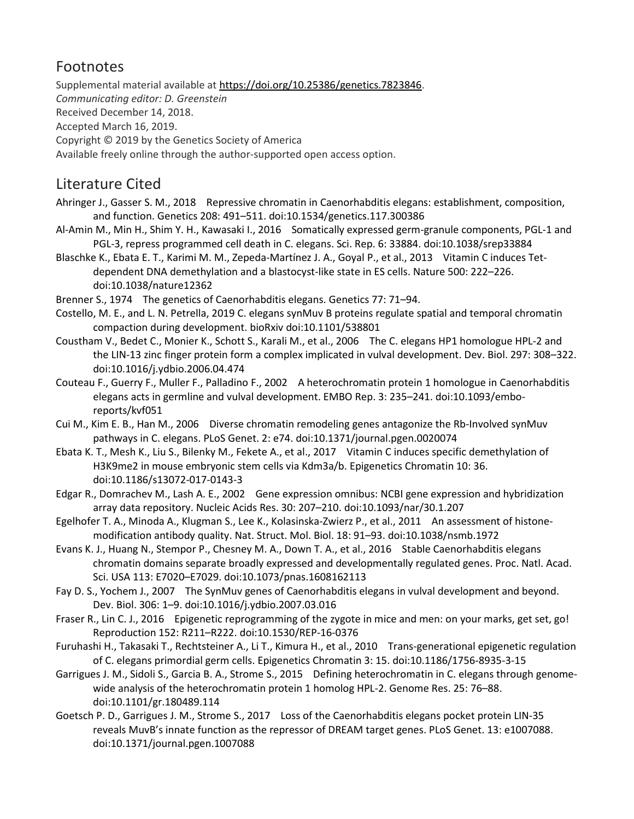# Footnotes

Supplemental material available at [https://doi.org/10.25386/genetics.7823846.](https://doi.org/10.25386/genetics.7823846) *Communicating editor: D. Greenstein* Received December 14, 2018. Accepted March 16, 2019. Copyright © 2019 by the Genetics Society of America Available freely online through the author-supported open access option.

# Literature Cited

- Ahringer J., Gasser S. M., 2018 Repressive chromatin in Caenorhabditis elegans: establishment, composition, and function. Genetics 208: 491–511. doi:10.1534/genetics.117.300386
- Al-Amin M., Min H., Shim Y. H., Kawasaki I., 2016 Somatically expressed germ-granule components, PGL-1 and PGL-3, repress programmed cell death in C. elegans. Sci. Rep. 6: 33884. doi:10.1038/srep33884
- Blaschke K., Ebata E. T., Karimi M. M., Zepeda-Martínez J. A., Goyal P., et al., 2013 Vitamin C induces Tetdependent DNA demethylation and a blastocyst-like state in ES cells. Nature 500: 222–226. doi:10.1038/nature12362

Brenner S., 1974 The genetics of Caenorhabditis elegans. Genetics 77: 71–94.

- Costello, M. E., and L. N. Petrella, 2019 C. elegans synMuv B proteins regulate spatial and temporal chromatin compaction during development. bioRxiv doi:10.1101/538801
- Coustham V., Bedet C., Monier K., Schott S., Karali M., et al., 2006 The C. elegans HP1 homologue HPL-2 and the LIN-13 zinc finger protein form a complex implicated in vulval development. Dev. Biol. 297: 308–322. doi:10.1016/j.ydbio.2006.04.474
- Couteau F., Guerry F., Muller F., Palladino F., 2002 A heterochromatin protein 1 homologue in Caenorhabditis elegans acts in germline and vulval development. EMBO Rep. 3: 235–241. doi:10.1093/emboreports/kvf051
- Cui M., Kim E. B., Han M., 2006 Diverse chromatin remodeling genes antagonize the Rb-Involved synMuv pathways in C. elegans. PLoS Genet. 2: e74. doi:10.1371/journal.pgen.0020074
- Ebata K. T., Mesh K., Liu S., Bilenky M., Fekete A., et al., 2017 Vitamin C induces specific demethylation of H3K9me2 in mouse embryonic stem cells via Kdm3a/b. Epigenetics Chromatin 10: 36. doi:10.1186/s13072-017-0143-3
- Edgar R., Domrachev M., Lash A. E., 2002 Gene expression omnibus: NCBI gene expression and hybridization array data repository. Nucleic Acids Res. 30: 207–210. doi:10.1093/nar/30.1.207
- Egelhofer T. A., Minoda A., Klugman S., Lee K., Kolasinska-Zwierz P., et al., 2011 An assessment of histonemodification antibody quality. Nat. Struct. Mol. Biol. 18: 91–93. doi:10.1038/nsmb.1972
- Evans K. J., Huang N., Stempor P., Chesney M. A., Down T. A., et al., 2016 Stable Caenorhabditis elegans chromatin domains separate broadly expressed and developmentally regulated genes. Proc. Natl. Acad. Sci. USA 113: E7020–E7029. doi:10.1073/pnas.1608162113
- Fay D. S., Yochem J., 2007 The SynMuv genes of Caenorhabditis elegans in vulval development and beyond. Dev. Biol. 306: 1–9. doi:10.1016/j.ydbio.2007.03.016
- Fraser R., Lin C. J., 2016 Epigenetic reprogramming of the zygote in mice and men: on your marks, get set, go! Reproduction 152: R211–R222. doi:10.1530/REP-16-0376
- Furuhashi H., Takasaki T., Rechtsteiner A., Li T., Kimura H., et al., 2010 Trans-generational epigenetic regulation of C. elegans primordial germ cells. Epigenetics Chromatin 3: 15. doi:10.1186/1756-8935-3-15
- Garrigues J. M., Sidoli S., Garcia B. A., Strome S., 2015 Defining heterochromatin in C. elegans through genomewide analysis of the heterochromatin protein 1 homolog HPL-2. Genome Res. 25: 76–88. doi:10.1101/gr.180489.114
- Goetsch P. D., Garrigues J. M., Strome S., 2017 Loss of the Caenorhabditis elegans pocket protein LIN-35 reveals MuvB's innate function as the repressor of DREAM target genes. PLoS Genet. 13: e1007088. doi:10.1371/journal.pgen.1007088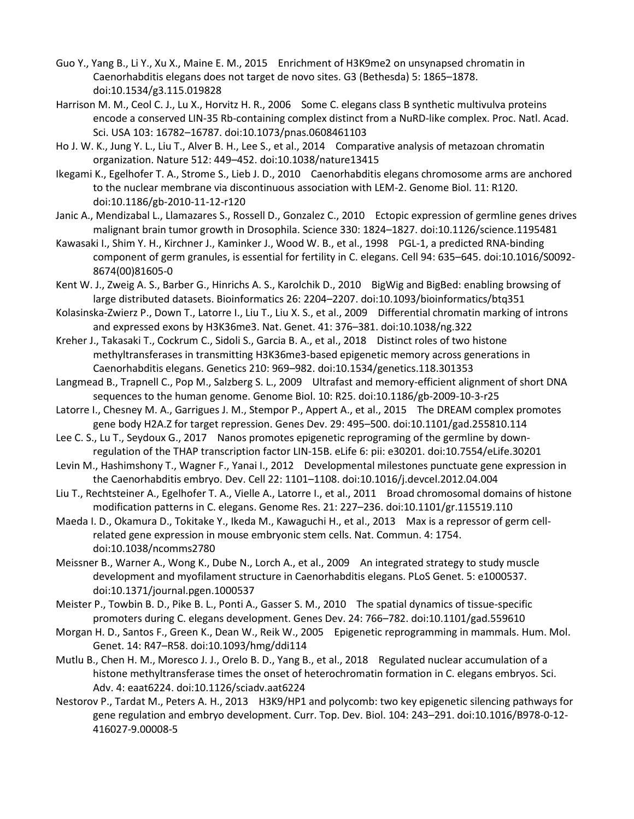- Guo Y., Yang B., Li Y., Xu X., Maine E. M., 2015 Enrichment of H3K9me2 on unsynapsed chromatin in Caenorhabditis elegans does not target de novo sites. G3 (Bethesda) 5: 1865–1878. doi:10.1534/g3.115.019828
- Harrison M. M., Ceol C. J., Lu X., Horvitz H. R., 2006 Some C. elegans class B synthetic multivulva proteins encode a conserved LIN-35 Rb-containing complex distinct from a NuRD-like complex. Proc. Natl. Acad. Sci. USA 103: 16782–16787. doi:10.1073/pnas.0608461103
- Ho J. W. K., Jung Y. L., Liu T., Alver B. H., Lee S., et al., 2014 Comparative analysis of metazoan chromatin organization. Nature 512: 449–452. doi:10.1038/nature13415
- Ikegami K., Egelhofer T. A., Strome S., Lieb J. D., 2010 Caenorhabditis elegans chromosome arms are anchored to the nuclear membrane via discontinuous association with LEM-2. Genome Biol. 11: R120. doi:10.1186/gb-2010-11-12-r120
- Janic A., Mendizabal L., Llamazares S., Rossell D., Gonzalez C., 2010 Ectopic expression of germline genes drives malignant brain tumor growth in Drosophila. Science 330: 1824–1827. doi:10.1126/science.1195481
- Kawasaki I., Shim Y. H., Kirchner J., Kaminker J., Wood W. B., et al., 1998 PGL-1, a predicted RNA-binding component of germ granules, is essential for fertility in C. elegans. Cell 94: 635–645. doi:10.1016/S0092- 8674(00)81605-0
- Kent W. J., Zweig A. S., Barber G., Hinrichs A. S., Karolchik D., 2010 BigWig and BigBed: enabling browsing of large distributed datasets. Bioinformatics 26: 2204–2207. doi:10.1093/bioinformatics/btq351
- Kolasinska-Zwierz P., Down T., Latorre I., Liu T., Liu X. S., et al., 2009 Differential chromatin marking of introns and expressed exons by H3K36me3. Nat. Genet. 41: 376–381. doi:10.1038/ng.322
- Kreher J., Takasaki T., Cockrum C., Sidoli S., Garcia B. A., et al., 2018 Distinct roles of two histone methyltransferases in transmitting H3K36me3-based epigenetic memory across generations in Caenorhabditis elegans. Genetics 210: 969–982. doi:10.1534/genetics.118.301353
- Langmead B., Trapnell C., Pop M., Salzberg S. L., 2009 Ultrafast and memory-efficient alignment of short DNA sequences to the human genome. Genome Biol. 10: R25. doi:10.1186/gb-2009-10-3-r25
- Latorre I., Chesney M. A., Garrigues J. M., Stempor P., Appert A., et al., 2015 The DREAM complex promotes gene body H2A.Z for target repression. Genes Dev. 29: 495–500. doi:10.1101/gad.255810.114
- Lee C. S., Lu T., Seydoux G., 2017 Nanos promotes epigenetic reprograming of the germline by downregulation of the THAP transcription factor LIN-15B. eLife 6: pii: e30201. doi:10.7554/eLife.30201
- Levin M., Hashimshony T., Wagner F., Yanai I., 2012 Developmental milestones punctuate gene expression in the Caenorhabditis embryo. Dev. Cell 22: 1101–1108. doi:10.1016/j.devcel.2012.04.004
- Liu T., Rechtsteiner A., Egelhofer T. A., Vielle A., Latorre I., et al., 2011 Broad chromosomal domains of histone modification patterns in C. elegans. Genome Res. 21: 227–236. doi:10.1101/gr.115519.110
- Maeda I. D., Okamura D., Tokitake Y., Ikeda M., Kawaguchi H., et al., 2013 Max is a repressor of germ cellrelated gene expression in mouse embryonic stem cells. Nat. Commun. 4: 1754. doi:10.1038/ncomms2780
- Meissner B., Warner A., Wong K., Dube N., Lorch A., et al., 2009 An integrated strategy to study muscle development and myofilament structure in Caenorhabditis elegans. PLoS Genet. 5: e1000537. doi:10.1371/journal.pgen.1000537
- Meister P., Towbin B. D., Pike B. L., Ponti A., Gasser S. M., 2010 The spatial dynamics of tissue-specific promoters during C. elegans development. Genes Dev. 24: 766–782. doi:10.1101/gad.559610
- Morgan H. D., Santos F., Green K., Dean W., Reik W., 2005 Epigenetic reprogramming in mammals. Hum. Mol. Genet. 14: R47–R58. doi:10.1093/hmg/ddi114
- Mutlu B., Chen H. M., Moresco J. J., Orelo B. D., Yang B., et al., 2018 Regulated nuclear accumulation of a histone methyltransferase times the onset of heterochromatin formation in C. elegans embryos. Sci. Adv. 4: eaat6224. doi:10.1126/sciadv.aat6224
- Nestorov P., Tardat M., Peters A. H., 2013 H3K9/HP1 and polycomb: two key epigenetic silencing pathways for gene regulation and embryo development. Curr. Top. Dev. Biol. 104: 243–291. doi:10.1016/B978-0-12- 416027-9.00008-5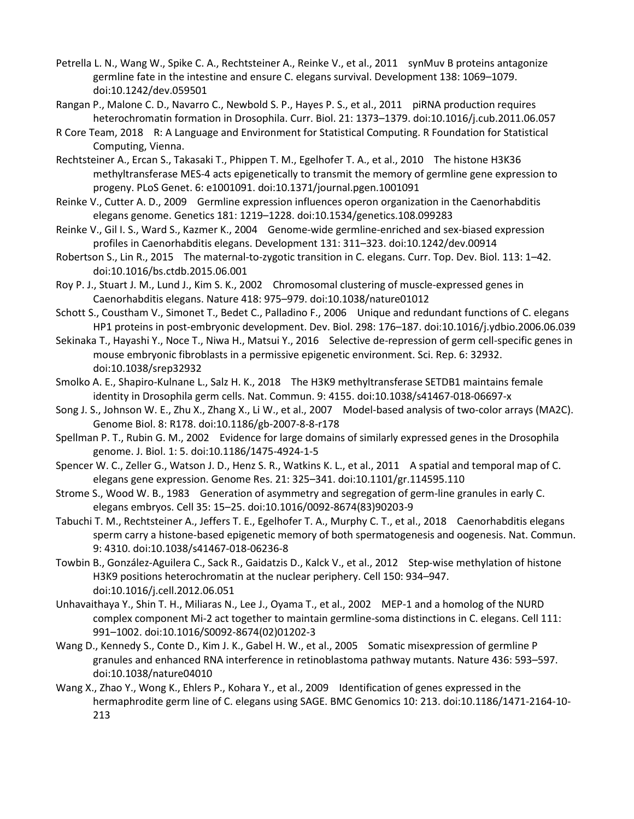- Petrella L. N., Wang W., Spike C. A., Rechtsteiner A., Reinke V., et al., 2011 synMuv B proteins antagonize germline fate in the intestine and ensure C. elegans survival. Development 138: 1069–1079. doi:10.1242/dev.059501
- Rangan P., Malone C. D., Navarro C., Newbold S. P., Hayes P. S., et al., 2011 piRNA production requires heterochromatin formation in Drosophila. Curr. Biol. 21: 1373–1379. doi:10.1016/j.cub.2011.06.057
- R Core Team, 2018 R: A Language and Environment for Statistical Computing. R Foundation for Statistical Computing, Vienna.
- Rechtsteiner A., Ercan S., Takasaki T., Phippen T. M., Egelhofer T. A., et al., 2010 The histone H3K36 methyltransferase MES-4 acts epigenetically to transmit the memory of germline gene expression to progeny. PLoS Genet. 6: e1001091. doi:10.1371/journal.pgen.1001091
- Reinke V., Cutter A. D., 2009 Germline expression influences operon organization in the Caenorhabditis elegans genome. Genetics 181: 1219–1228. doi:10.1534/genetics.108.099283
- Reinke V., Gil I. S., Ward S., Kazmer K., 2004 Genome-wide germline-enriched and sex-biased expression profiles in Caenorhabditis elegans. Development 131: 311–323. doi:10.1242/dev.00914
- Robertson S., Lin R., 2015 The maternal-to-zygotic transition in C. elegans. Curr. Top. Dev. Biol. 113: 1–42. doi:10.1016/bs.ctdb.2015.06.001
- Roy P. J., Stuart J. M., Lund J., Kim S. K., 2002 Chromosomal clustering of muscle-expressed genes in Caenorhabditis elegans. Nature 418: 975–979. doi:10.1038/nature01012
- Schott S., Coustham V., Simonet T., Bedet C., Palladino F., 2006 Unique and redundant functions of C. elegans HP1 proteins in post-embryonic development. Dev. Biol. 298: 176–187. doi:10.1016/j.ydbio.2006.06.039
- Sekinaka T., Hayashi Y., Noce T., Niwa H., Matsui Y., 2016 Selective de-repression of germ cell-specific genes in mouse embryonic fibroblasts in a permissive epigenetic environment. Sci. Rep. 6: 32932. doi:10.1038/srep32932
- Smolko A. E., Shapiro-Kulnane L., Salz H. K., 2018 The H3K9 methyltransferase SETDB1 maintains female identity in Drosophila germ cells. Nat. Commun. 9: 4155. doi:10.1038/s41467-018-06697-x
- Song J. S., Johnson W. E., Zhu X., Zhang X., Li W., et al., 2007 Model-based analysis of two-color arrays (MA2C). Genome Biol. 8: R178. doi:10.1186/gb-2007-8-8-r178
- Spellman P. T., Rubin G. M., 2002 Evidence for large domains of similarly expressed genes in the Drosophila genome. J. Biol. 1: 5. doi:10.1186/1475-4924-1-5
- Spencer W. C., Zeller G., Watson J. D., Henz S. R., Watkins K. L., et al., 2011 A spatial and temporal map of C. elegans gene expression. Genome Res. 21: 325–341. doi:10.1101/gr.114595.110
- Strome S., Wood W. B., 1983 Generation of asymmetry and segregation of germ-line granules in early C. elegans embryos. Cell 35: 15–25. doi:10.1016/0092-8674(83)90203-9
- Tabuchi T. M., Rechtsteiner A., Jeffers T. E., Egelhofer T. A., Murphy C. T., et al., 2018 Caenorhabditis elegans sperm carry a histone-based epigenetic memory of both spermatogenesis and oogenesis. Nat. Commun. 9: 4310. doi:10.1038/s41467-018-06236-8
- Towbin B., González-Aguilera C., Sack R., Gaidatzis D., Kalck V., et al., 2012 Step-wise methylation of histone H3K9 positions heterochromatin at the nuclear periphery. Cell 150: 934–947. doi:10.1016/j.cell.2012.06.051
- Unhavaithaya Y., Shin T. H., Miliaras N., Lee J., Oyama T., et al., 2002 MEP-1 and a homolog of the NURD complex component Mi-2 act together to maintain germline-soma distinctions in C. elegans. Cell 111: 991–1002. doi:10.1016/S0092-8674(02)01202-3
- Wang D., Kennedy S., Conte D., Kim J. K., Gabel H. W., et al., 2005 Somatic misexpression of germline P granules and enhanced RNA interference in retinoblastoma pathway mutants. Nature 436: 593–597. doi:10.1038/nature04010
- Wang X., Zhao Y., Wong K., Ehlers P., Kohara Y., et al., 2009 Identification of genes expressed in the hermaphrodite germ line of C. elegans using SAGE. BMC Genomics 10: 213. doi:10.1186/1471-2164-10- 213